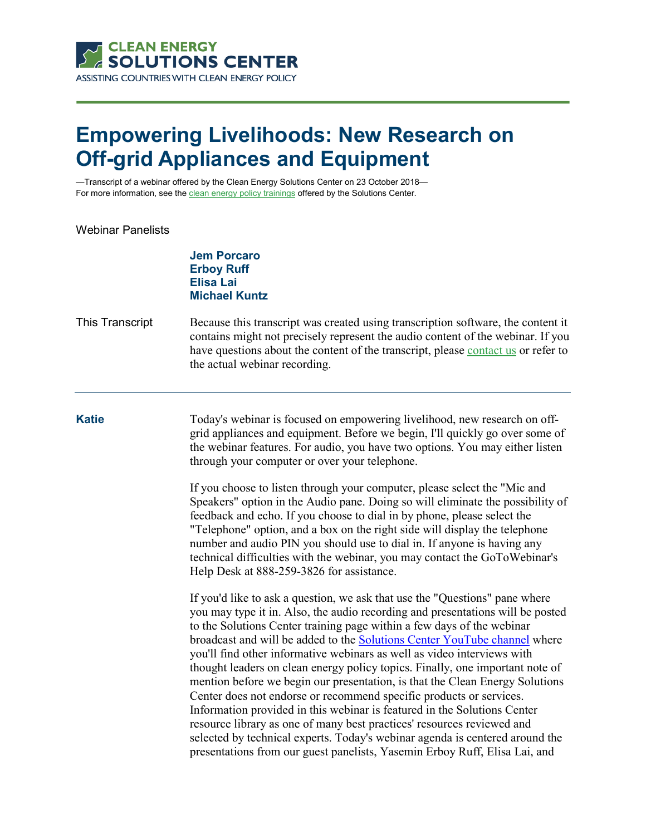

## **Empowering Livelihoods: New Research on Off-grid Appliances and Equipment**

—Transcript of a webinar offered by the Clean Energy Solutions Center on 23 October 2018— For more information, see th[e clean energy policy trainings](https://cleanenergysolutions.org/training) offered by the Solutions Center.

## Webinar Panelists

**Jem Porcaro Erboy Ruff Elisa Lai Michael Kuntz**

## This Transcript Because this transcript was created using transcription software, the content it contains might not precisely represent the audio content of the webinar. If you have questions about the content of the transcript, please [contact us](https://cleanenergysolutions.org/contact) or refer to the actual webinar recording.

**Katie** Today's webinar is focused on empowering livelihood, new research on offgrid appliances and equipment. Before we begin, I'll quickly go over some of the webinar features. For audio, you have two options. You may either listen through your computer or over your telephone.

> If you choose to listen through your computer, please select the "Mic and Speakers" option in the Audio pane. Doing so will eliminate the possibility of feedback and echo. If you choose to dial in by phone, please select the "Telephone" option, and a box on the right side will display the telephone number and audio PIN you should use to dial in. If anyone is having any technical difficulties with the webinar, you may contact the GoToWebinar's Help Desk at 888-259-3826 for assistance.

> If you'd like to ask a question, we ask that use the "Questions" pane where you may type it in. Also, the audio recording and presentations will be posted to the Solutions Center training page within a few days of the webinar broadcast and will be added to the [Solutions Center YouTube channel](https://www.youtube.com/user/cleanenergypolicy) where you'll find other informative webinars as well as video interviews with thought leaders on clean energy policy topics. Finally, one important note of mention before we begin our presentation, is that the Clean Energy Solutions Center does not endorse or recommend specific products or services. Information provided in this webinar is featured in the Solutions Center resource library as one of many best practices' resources reviewed and selected by technical experts. Today's webinar agenda is centered around the presentations from our guest panelists, Yasemin Erboy Ruff, Elisa Lai, and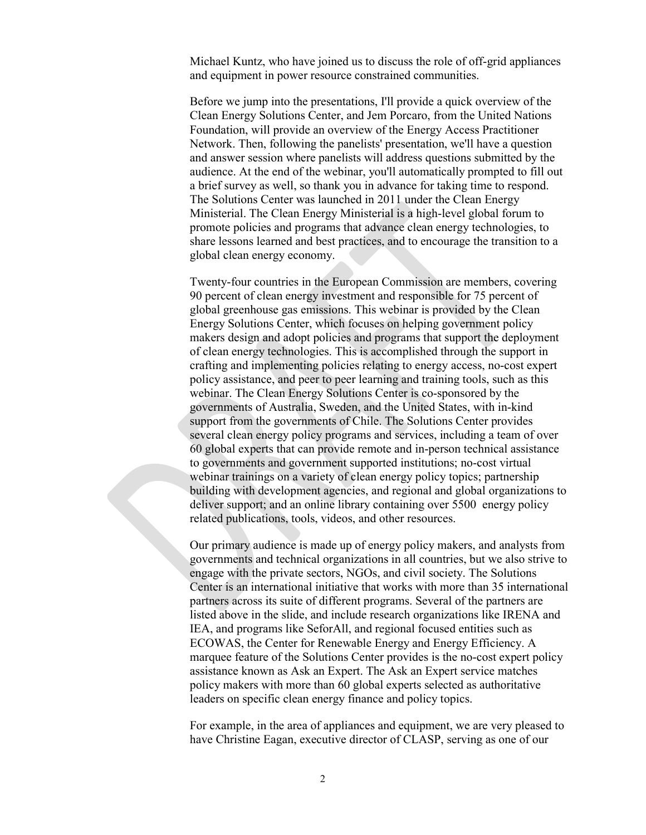Michael Kuntz, who have joined us to discuss the role of off-grid appliances and equipment in power resource constrained communities.

Before we jump into the presentations, I'll provide a quick overview of the Clean Energy Solutions Center, and Jem Porcaro, from the United Nations Foundation, will provide an overview of the Energy Access Practitioner Network. Then, following the panelists' presentation, we'll have a question and answer session where panelists will address questions submitted by the audience. At the end of the webinar, you'll automatically prompted to fill out a brief survey as well, so thank you in advance for taking time to respond. The Solutions Center was launched in 2011 under the Clean Energy Ministerial. The Clean Energy Ministerial is a high-level global forum to promote policies and programs that advance clean energy technologies, to share lessons learned and best practices, and to encourage the transition to a global clean energy economy.

Twenty-four countries in the European Commission are members, covering 90 percent of clean energy investment and responsible for 75 percent of global greenhouse gas emissions. This webinar is provided by the Clean Energy Solutions Center, which focuses on helping government policy makers design and adopt policies and programs that support the deployment of clean energy technologies. This is accomplished through the support in crafting and implementing policies relating to energy access, no-cost expert policy assistance, and peer to peer learning and training tools, such as this webinar. The Clean Energy Solutions Center is co-sponsored by the governments of Australia, Sweden, and the United States, with in-kind support from the governments of Chile. The Solutions Center provides several clean energy policy programs and services, including a team of over 60 global experts that can provide remote and in-person technical assistance to governments and government supported institutions; no-cost virtual webinar trainings on a variety of clean energy policy topics; partnership building with development agencies, and regional and global organizations to deliver support; and an online library containing over 5500 energy policy related publications, tools, videos, and other resources.

Our primary audience is made up of energy policy makers, and analysts from governments and technical organizations in all countries, but we also strive to engage with the private sectors, NGOs, and civil society. The Solutions Center is an international initiative that works with more than 35 international partners across its suite of different programs. Several of the partners are listed above in the slide, and include research organizations like IRENA and IEA, and programs like SeforAll, and regional focused entities such as ECOWAS, the Center for Renewable Energy and Energy Efficiency. A marquee feature of the Solutions Center provides is the no-cost expert policy assistance known as Ask an Expert. The Ask an Expert service matches policy makers with more than 60 global experts selected as authoritative leaders on specific clean energy finance and policy topics.

For example, in the area of appliances and equipment, we are very pleased to have Christine Eagan, executive director of CLASP, serving as one of our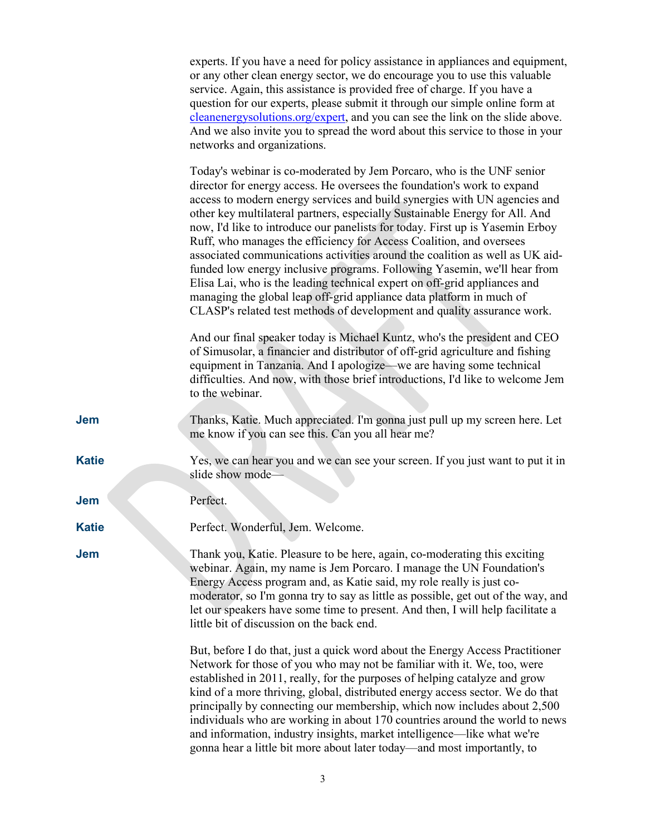|              | experts. If you have a need for policy assistance in appliances and equipment,<br>or any other clean energy sector, we do encourage you to use this valuable<br>service. Again, this assistance is provided free of charge. If you have a<br>question for our experts, please submit it through our simple online form at<br>cleanenergysolutions.org/expert, and you can see the link on the slide above.<br>And we also invite you to spread the word about this service to those in your<br>networks and organizations.                                                                                                                                                                                                                                                                                                                                       |
|--------------|------------------------------------------------------------------------------------------------------------------------------------------------------------------------------------------------------------------------------------------------------------------------------------------------------------------------------------------------------------------------------------------------------------------------------------------------------------------------------------------------------------------------------------------------------------------------------------------------------------------------------------------------------------------------------------------------------------------------------------------------------------------------------------------------------------------------------------------------------------------|
|              | Today's webinar is co-moderated by Jem Porcaro, who is the UNF senior<br>director for energy access. He oversees the foundation's work to expand<br>access to modern energy services and build synergies with UN agencies and<br>other key multilateral partners, especially Sustainable Energy for All. And<br>now, I'd like to introduce our panelists for today. First up is Yasemin Erboy<br>Ruff, who manages the efficiency for Access Coalition, and oversees<br>associated communications activities around the coalition as well as UK aid-<br>funded low energy inclusive programs. Following Yasemin, we'll hear from<br>Elisa Lai, who is the leading technical expert on off-grid appliances and<br>managing the global leap off-grid appliance data platform in much of<br>CLASP's related test methods of development and quality assurance work. |
|              | And our final speaker today is Michael Kuntz, who's the president and CEO<br>of Simusolar, a financier and distributor of off-grid agriculture and fishing<br>equipment in Tanzania. And I apologize—we are having some technical<br>difficulties. And now, with those brief introductions, I'd like to welcome Jem<br>to the webinar.                                                                                                                                                                                                                                                                                                                                                                                                                                                                                                                           |
| <b>Jem</b>   | Thanks, Katie. Much appreciated. I'm gonna just pull up my screen here. Let<br>me know if you can see this. Can you all hear me?                                                                                                                                                                                                                                                                                                                                                                                                                                                                                                                                                                                                                                                                                                                                 |
| <b>Katie</b> | Yes, we can hear you and we can see your screen. If you just want to put it in<br>slide show mode-                                                                                                                                                                                                                                                                                                                                                                                                                                                                                                                                                                                                                                                                                                                                                               |
| <b>Jem</b>   | Perfect.                                                                                                                                                                                                                                                                                                                                                                                                                                                                                                                                                                                                                                                                                                                                                                                                                                                         |
| <b>Katie</b> | Perfect. Wonderful, Jem. Welcome.                                                                                                                                                                                                                                                                                                                                                                                                                                                                                                                                                                                                                                                                                                                                                                                                                                |
| <b>Jem</b>   | Thank you, Katie. Pleasure to be here, again, co-moderating this exciting<br>webinar. Again, my name is Jem Porcaro. I manage the UN Foundation's<br>Energy Access program and, as Katie said, my role really is just co-<br>moderator, so I'm gonna try to say as little as possible, get out of the way, and<br>let our speakers have some time to present. And then, I will help facilitate a<br>little bit of discussion on the back end.                                                                                                                                                                                                                                                                                                                                                                                                                    |
|              | But, before I do that, just a quick word about the Energy Access Practitioner<br>Network for those of you who may not be familiar with it. We, too, were<br>established in 2011, really, for the purposes of helping catalyze and grow<br>kind of a more thriving, global, distributed energy access sector. We do that<br>principally by connecting our membership, which now includes about 2,500<br>individuals who are working in about 170 countries around the world to news<br>and information, industry insights, market intelligence—like what we're<br>gonna hear a little bit more about later today—and most importantly, to                                                                                                                                                                                                                         |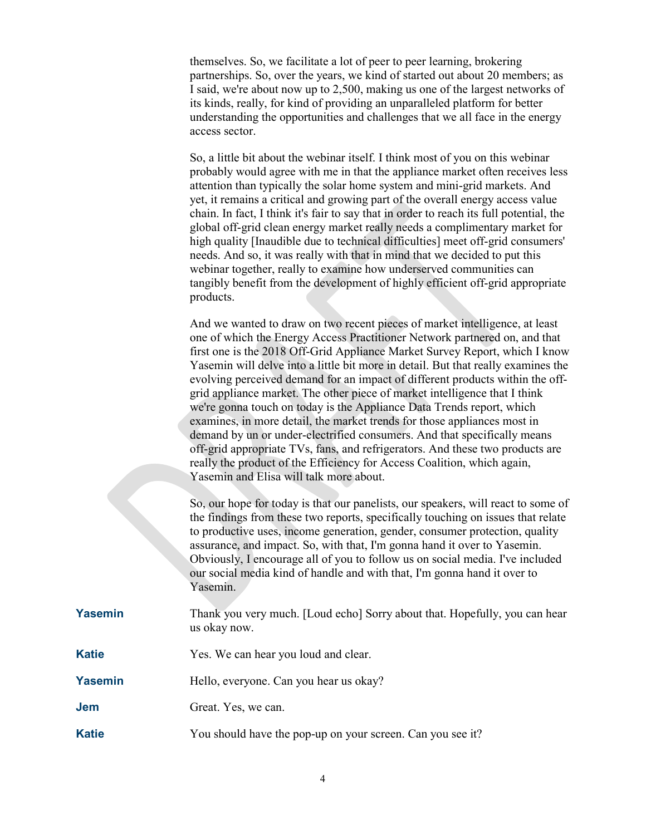themselves. So, we facilitate a lot of peer to peer learning, brokering partnerships. So, over the years, we kind of started out about 20 members; as I said, we're about now up to 2,500, making us one of the largest networks of its kinds, really, for kind of providing an unparalleled platform for better understanding the opportunities and challenges that we all face in the energy access sector.

So, a little bit about the webinar itself. I think most of you on this webinar probably would agree with me in that the appliance market often receives less attention than typically the solar home system and mini-grid markets. And yet, it remains a critical and growing part of the overall energy access value chain. In fact, I think it's fair to say that in order to reach its full potential, the global off-grid clean energy market really needs a complimentary market for high quality [Inaudible due to technical difficulties] meet off-grid consumers' needs. And so, it was really with that in mind that we decided to put this webinar together, really to examine how underserved communities can tangibly benefit from the development of highly efficient off-grid appropriate products.

And we wanted to draw on two recent pieces of market intelligence, at least one of which the Energy Access Practitioner Network partnered on, and that first one is the 2018 Off-Grid Appliance Market Survey Report, which I know Yasemin will delve into a little bit more in detail. But that really examines the evolving perceived demand for an impact of different products within the offgrid appliance market. The other piece of market intelligence that I think we're gonna touch on today is the Appliance Data Trends report, which examines, in more detail, the market trends for those appliances most in demand by un or under-electrified consumers. And that specifically means off-grid appropriate TVs, fans, and refrigerators. And these two products are really the product of the Efficiency for Access Coalition, which again, Yasemin and Elisa will talk more about.

So, our hope for today is that our panelists, our speakers, will react to some of the findings from these two reports, specifically touching on issues that relate to productive uses, income generation, gender, consumer protection, quality assurance, and impact. So, with that, I'm gonna hand it over to Yasemin. Obviously, I encourage all of you to follow us on social media. I've included our social media kind of handle and with that, I'm gonna hand it over to Yasemin.

- **Yasemin** Thank you very much. [Loud echo] Sorry about that. Hopefully, you can hear us okay now.
- **Katie** Yes. We can hear you loud and clear.
- **Yasemin** Hello, everyone. Can you hear us okay?

**Jem** Great. Yes, we can.

**Katie** You should have the pop-up on your screen. Can you see it?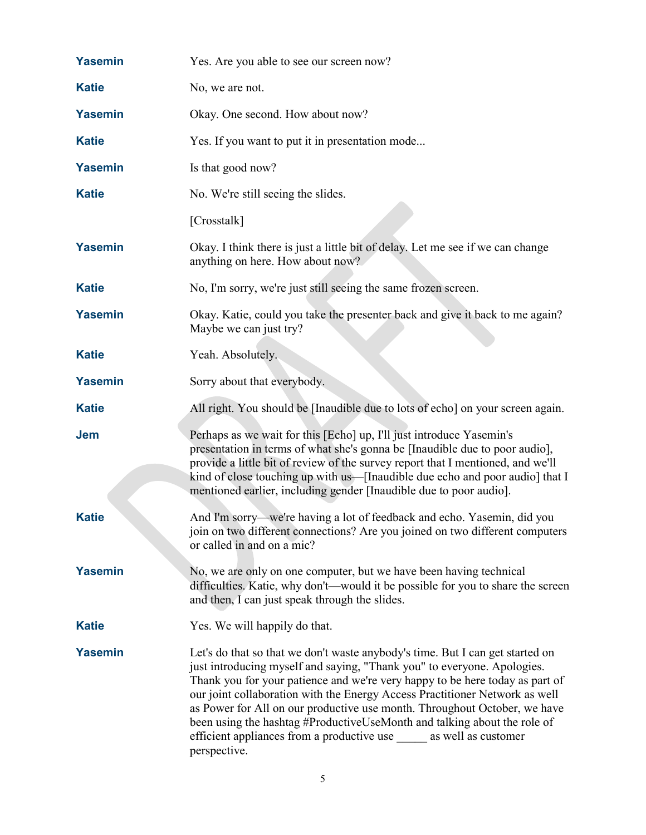| <b>Yasemin</b> | Yes. Are you able to see our screen now?                                                                                                                                                                                                                                                                                                                                                                                                                                                                                                                           |
|----------------|--------------------------------------------------------------------------------------------------------------------------------------------------------------------------------------------------------------------------------------------------------------------------------------------------------------------------------------------------------------------------------------------------------------------------------------------------------------------------------------------------------------------------------------------------------------------|
| <b>Katie</b>   | No, we are not.                                                                                                                                                                                                                                                                                                                                                                                                                                                                                                                                                    |
| <b>Yasemin</b> | Okay. One second. How about now?                                                                                                                                                                                                                                                                                                                                                                                                                                                                                                                                   |
| <b>Katie</b>   | Yes. If you want to put it in presentation mode                                                                                                                                                                                                                                                                                                                                                                                                                                                                                                                    |
| <b>Yasemin</b> | Is that good now?                                                                                                                                                                                                                                                                                                                                                                                                                                                                                                                                                  |
| <b>Katie</b>   | No. We're still seeing the slides.                                                                                                                                                                                                                                                                                                                                                                                                                                                                                                                                 |
|                | [Crosstalk]                                                                                                                                                                                                                                                                                                                                                                                                                                                                                                                                                        |
| <b>Yasemin</b> | Okay. I think there is just a little bit of delay. Let me see if we can change<br>anything on here. How about now?                                                                                                                                                                                                                                                                                                                                                                                                                                                 |
| <b>Katie</b>   | No, I'm sorry, we're just still seeing the same frozen screen.                                                                                                                                                                                                                                                                                                                                                                                                                                                                                                     |
| <b>Yasemin</b> | Okay. Katie, could you take the presenter back and give it back to me again?<br>Maybe we can just try?                                                                                                                                                                                                                                                                                                                                                                                                                                                             |
| <b>Katie</b>   | Yeah. Absolutely.                                                                                                                                                                                                                                                                                                                                                                                                                                                                                                                                                  |
| <b>Yasemin</b> | Sorry about that everybody.                                                                                                                                                                                                                                                                                                                                                                                                                                                                                                                                        |
| <b>Katie</b>   | All right. You should be [Inaudible due to lots of echo] on your screen again.                                                                                                                                                                                                                                                                                                                                                                                                                                                                                     |
| <b>Jem</b>     | Perhaps as we wait for this [Echo] up, I'll just introduce Yasemin's<br>presentation in terms of what she's gonna be [Inaudible due to poor audio],<br>provide a little bit of review of the survey report that I mentioned, and we'll<br>kind of close touching up with us—[Inaudible due echo and poor audio] that I<br>mentioned earlier, including gender [Inaudible due to poor audio].                                                                                                                                                                       |
| <b>Katie</b>   | And I'm sorry—we're having a lot of feedback and echo. Yasemin, did you<br>join on two different connections? Are you joined on two different computers<br>or called in and on a mic?                                                                                                                                                                                                                                                                                                                                                                              |
| <b>Yasemin</b> | No, we are only on one computer, but we have been having technical<br>difficulties. Katie, why don't-would it be possible for you to share the screen<br>and then, I can just speak through the slides.                                                                                                                                                                                                                                                                                                                                                            |
| <b>Katie</b>   | Yes. We will happily do that.                                                                                                                                                                                                                                                                                                                                                                                                                                                                                                                                      |
| <b>Yasemin</b> | Let's do that so that we don't waste anybody's time. But I can get started on<br>just introducing myself and saying, "Thank you" to everyone. Apologies.<br>Thank you for your patience and we're very happy to be here today as part of<br>our joint collaboration with the Energy Access Practitioner Network as well<br>as Power for All on our productive use month. Throughout October, we have<br>been using the hashtag #ProductiveUseMonth and talking about the role of<br>efficient appliances from a productive use as well as customer<br>perspective. |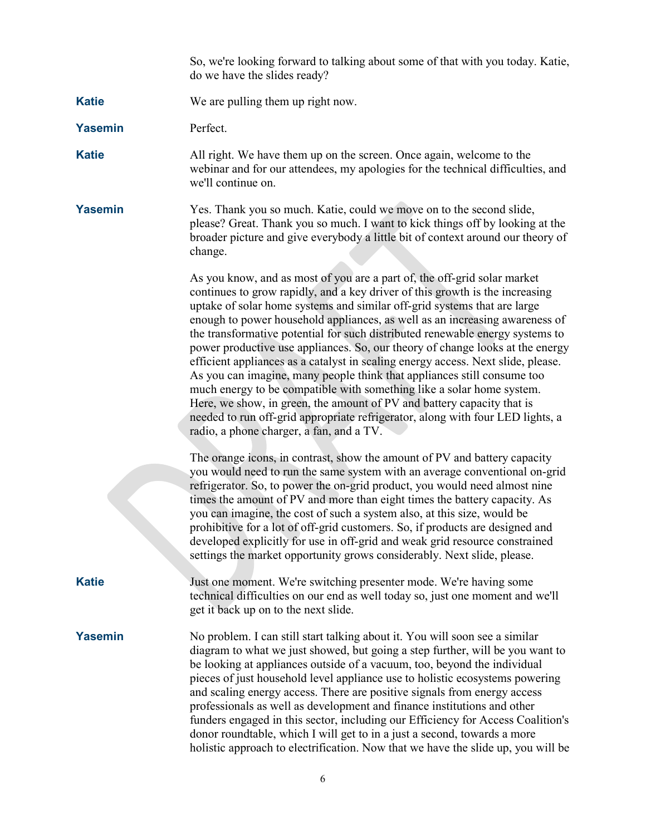So, we're looking forward to talking about some of that with you today. Katie, do we have the slides ready?

- **Katie** We are pulling them up right now.
- Yasemin Perfect.

**Katie** All right. We have them up on the screen. Once again, welcome to the webinar and for our attendees, my apologies for the technical difficulties, and we'll continue on.

**Yasemin** Yes. Thank you so much. Katie, could we move on to the second slide, please? Great. Thank you so much. I want to kick things off by looking at the broader picture and give everybody a little bit of context around our theory of change.

> As you know, and as most of you are a part of, the off-grid solar market continues to grow rapidly, and a key driver of this growth is the increasing uptake of solar home systems and similar off-grid systems that are large enough to power household appliances, as well as an increasing awareness of the transformative potential for such distributed renewable energy systems to power productive use appliances. So, our theory of change looks at the energy efficient appliances as a catalyst in scaling energy access. Next slide, please. As you can imagine, many people think that appliances still consume too much energy to be compatible with something like a solar home system. Here, we show, in green, the amount of PV and battery capacity that is needed to run off-grid appropriate refrigerator, along with four LED lights, a radio, a phone charger, a fan, and a TV.

> The orange icons, in contrast, show the amount of PV and battery capacity you would need to run the same system with an average conventional on-grid refrigerator. So, to power the on-grid product, you would need almost nine times the amount of PV and more than eight times the battery capacity. As you can imagine, the cost of such a system also, at this size, would be prohibitive for a lot of off-grid customers. So, if products are designed and developed explicitly for use in off-grid and weak grid resource constrained settings the market opportunity grows considerably. Next slide, please.

**Katie** Just one moment. We're switching presenter mode. We're having some technical difficulties on our end as well today so, just one moment and we'll get it back up on to the next slide.

**Yasemin** No problem. I can still start talking about it. You will soon see a similar diagram to what we just showed, but going a step further, will be you want to be looking at appliances outside of a vacuum, too, beyond the individual pieces of just household level appliance use to holistic ecosystems powering and scaling energy access. There are positive signals from energy access professionals as well as development and finance institutions and other funders engaged in this sector, including our Efficiency for Access Coalition's donor roundtable, which I will get to in a just a second, towards a more holistic approach to electrification. Now that we have the slide up, you will be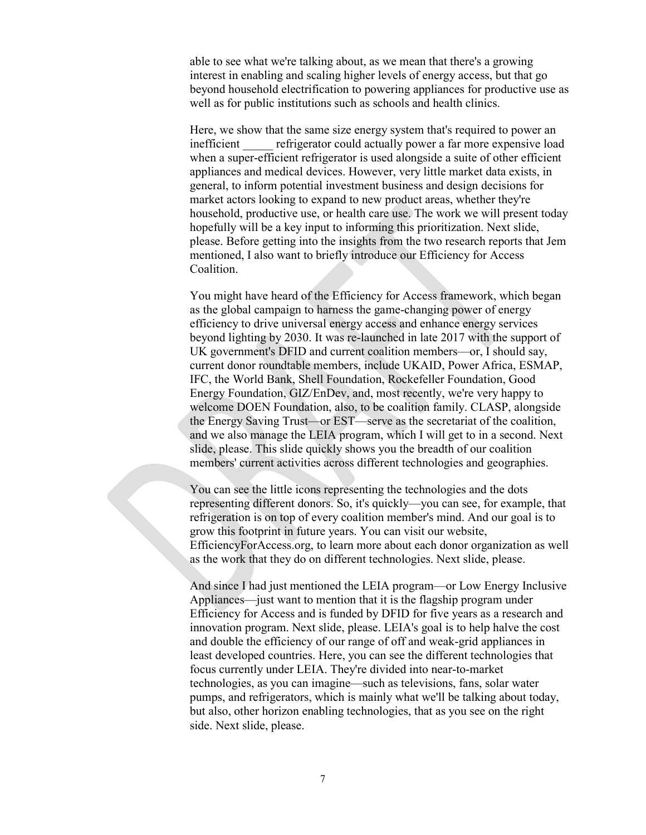able to see what we're talking about, as we mean that there's a growing interest in enabling and scaling higher levels of energy access, but that go beyond household electrification to powering appliances for productive use as well as for public institutions such as schools and health clinics.

Here, we show that the same size energy system that's required to power an inefficient refrigerator could actually power a far more expensive load when a super-efficient refrigerator is used alongside a suite of other efficient appliances and medical devices. However, very little market data exists, in general, to inform potential investment business and design decisions for market actors looking to expand to new product areas, whether they're household, productive use, or health care use. The work we will present today hopefully will be a key input to informing this prioritization. Next slide, please. Before getting into the insights from the two research reports that Jem mentioned, I also want to briefly introduce our Efficiency for Access Coalition.

You might have heard of the Efficiency for Access framework, which began as the global campaign to harness the game-changing power of energy efficiency to drive universal energy access and enhance energy services beyond lighting by 2030. It was re-launched in late 2017 with the support of UK government's DFID and current coalition members—or, I should say, current donor roundtable members, include UKAID, Power Africa, ESMAP, IFC, the World Bank, Shell Foundation, Rockefeller Foundation, Good Energy Foundation, GIZ/EnDev, and, most recently, we're very happy to welcome DOEN Foundation, also, to be coalition family. CLASP, alongside the Energy Saving Trust—or EST—serve as the secretariat of the coalition, and we also manage the LEIA program, which I will get to in a second. Next slide, please. This slide quickly shows you the breadth of our coalition members' current activities across different technologies and geographies.

You can see the little icons representing the technologies and the dots representing different donors. So, it's quickly—you can see, for example, that refrigeration is on top of every coalition member's mind. And our goal is to grow this footprint in future years. You can visit our website, EfficiencyForAccess.org, to learn more about each donor organization as well as the work that they do on different technologies. Next slide, please.

And since I had just mentioned the LEIA program—or Low Energy Inclusive Appliances—just want to mention that it is the flagship program under Efficiency for Access and is funded by DFID for five years as a research and innovation program. Next slide, please. LEIA's goal is to help halve the cost and double the efficiency of our range of off and weak-grid appliances in least developed countries. Here, you can see the different technologies that focus currently under LEIA. They're divided into near-to-market technologies, as you can imagine—such as televisions, fans, solar water pumps, and refrigerators, which is mainly what we'll be talking about today, but also, other horizon enabling technologies, that as you see on the right side. Next slide, please.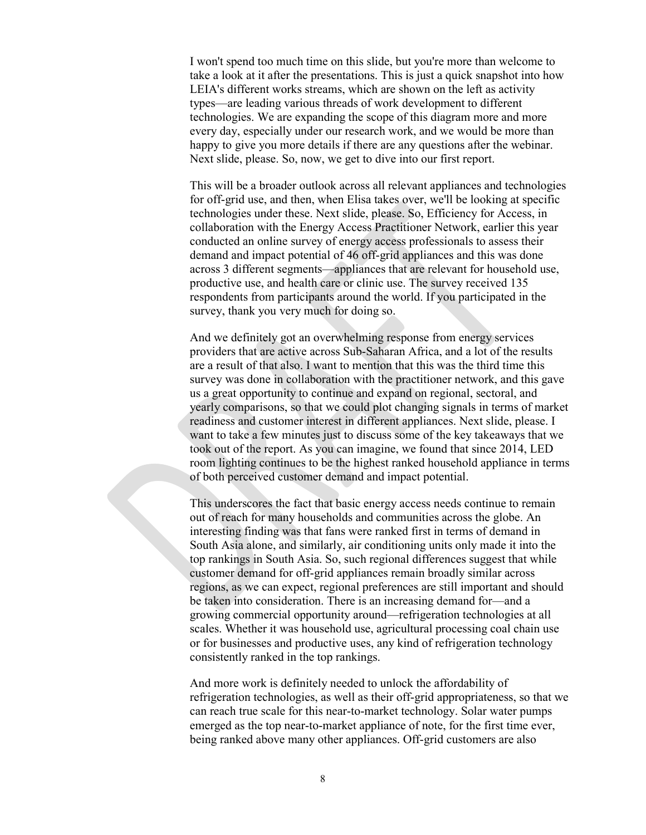I won't spend too much time on this slide, but you're more than welcome to take a look at it after the presentations. This is just a quick snapshot into how LEIA's different works streams, which are shown on the left as activity types—are leading various threads of work development to different technologies. We are expanding the scope of this diagram more and more every day, especially under our research work, and we would be more than happy to give you more details if there are any questions after the webinar. Next slide, please. So, now, we get to dive into our first report.

This will be a broader outlook across all relevant appliances and technologies for off-grid use, and then, when Elisa takes over, we'll be looking at specific technologies under these. Next slide, please. So, Efficiency for Access, in collaboration with the Energy Access Practitioner Network, earlier this year conducted an online survey of energy access professionals to assess their demand and impact potential of 46 off-grid appliances and this was done across 3 different segments—appliances that are relevant for household use, productive use, and health care or clinic use. The survey received 135 respondents from participants around the world. If you participated in the survey, thank you very much for doing so.

And we definitely got an overwhelming response from energy services providers that are active across Sub-Saharan Africa, and a lot of the results are a result of that also. I want to mention that this was the third time this survey was done in collaboration with the practitioner network, and this gave us a great opportunity to continue and expand on regional, sectoral, and yearly comparisons, so that we could plot changing signals in terms of market readiness and customer interest in different appliances. Next slide, please. I want to take a few minutes just to discuss some of the key takeaways that we took out of the report. As you can imagine, we found that since 2014, LED room lighting continues to be the highest ranked household appliance in terms of both perceived customer demand and impact potential.

This underscores the fact that basic energy access needs continue to remain out of reach for many households and communities across the globe. An interesting finding was that fans were ranked first in terms of demand in South Asia alone, and similarly, air conditioning units only made it into the top rankings in South Asia. So, such regional differences suggest that while customer demand for off-grid appliances remain broadly similar across regions, as we can expect, regional preferences are still important and should be taken into consideration. There is an increasing demand for—and a growing commercial opportunity around—refrigeration technologies at all scales. Whether it was household use, agricultural processing coal chain use or for businesses and productive uses, any kind of refrigeration technology consistently ranked in the top rankings.

And more work is definitely needed to unlock the affordability of refrigeration technologies, as well as their off-grid appropriateness, so that we can reach true scale for this near-to-market technology. Solar water pumps emerged as the top near-to-market appliance of note, for the first time ever, being ranked above many other appliances. Off-grid customers are also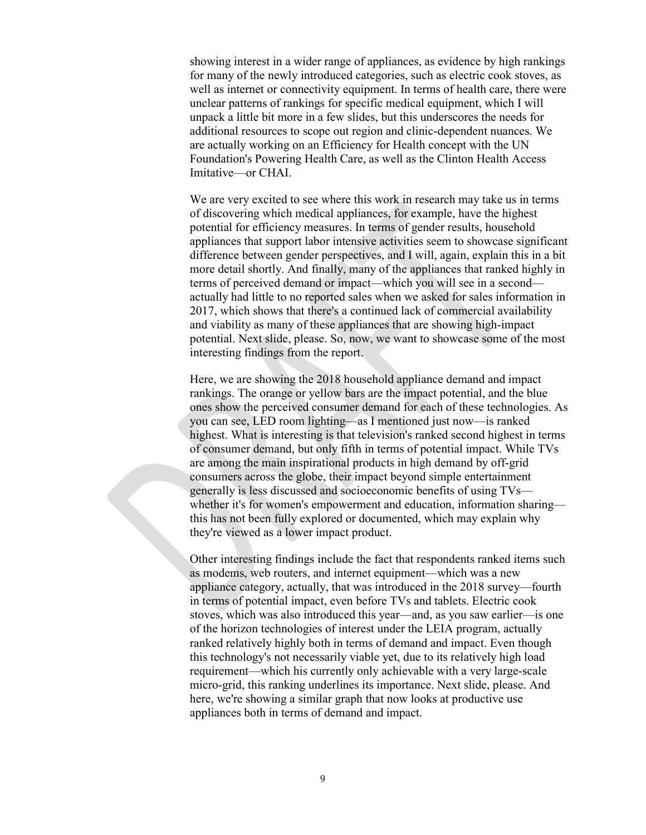showing interest in a wider range of appliances, as evidence by high rankings for many of the newly introduced categories, such as electric cook stoves, as well as internet or connectivity equipment. In terms of health care, there were unclear patterns of rankings for specific medical equipment, which I will unpack a little bit more in a few slides, but this underscores the needs for additional resources to scope out region and clinic-dependent nuances. We are actually working on an Efficiency for Health concept with the UN Foundation's Powering Health Care, as well as the Clinton Health Access Imitative—or CHAI.

We are very excited to see where this work in research may take us in terms of discovering which medical appliances, for example, have the highest potential for efficiency measures. In terms of gender results, household appliances that support labor intensive activities seem to showcase significant difference between gender perspectives, and I will, again, explain this in a bit more detail shortly. And finally, many of the appliances that ranked highly in terms of perceived demand or impact—which you will see in a second actually had little to no reported sales when we asked for sales information in 2017, which shows that there's a continued lack of commercial availability and viability as many of these appliances that are showing high-impact potential. Next slide, please. So, now, we want to showcase some of the most interesting findings from the report.

Here, we are showing the 2018 household appliance demand and impact rankings. The orange or yellow bars are the impact potential, and the blue ones show the perceived consumer demand for each of these technologies. As you can see, LED room lighting—as I mentioned just now—is ranked highest. What is interesting is that television's ranked second highest in terms of consumer demand, but only fifth in terms of potential impact. While TVs are among the main inspirational products in high demand by off-grid consumers across the globe, their impact beyond simple entertainment generally is less discussed and socioeconomic benefits of using TVs whether it's for women's empowerment and education, information sharing this has not been fully explored or documented, which may explain why they're viewed as a lower impact product.

Other interesting findings include the fact that respondents ranked items such as modems, web routers, and internet equipment—which was a new appliance category, actually, that was introduced in the 2018 survey—fourth in terms of potential impact, even before TVs and tablets. Electric cook stoves, which was also introduced this year—and, as you saw earlier—is one of the horizon technologies of interest under the LEIA program, actually ranked relatively highly both in terms of demand and impact. Even though this technology's not necessarily viable yet, due to its relatively high load requirement—which his currently only achievable with a very large-scale micro-grid, this ranking underlines its importance. Next slide, please. And here, we're showing a similar graph that now looks at productive use appliances both in terms of demand and impact.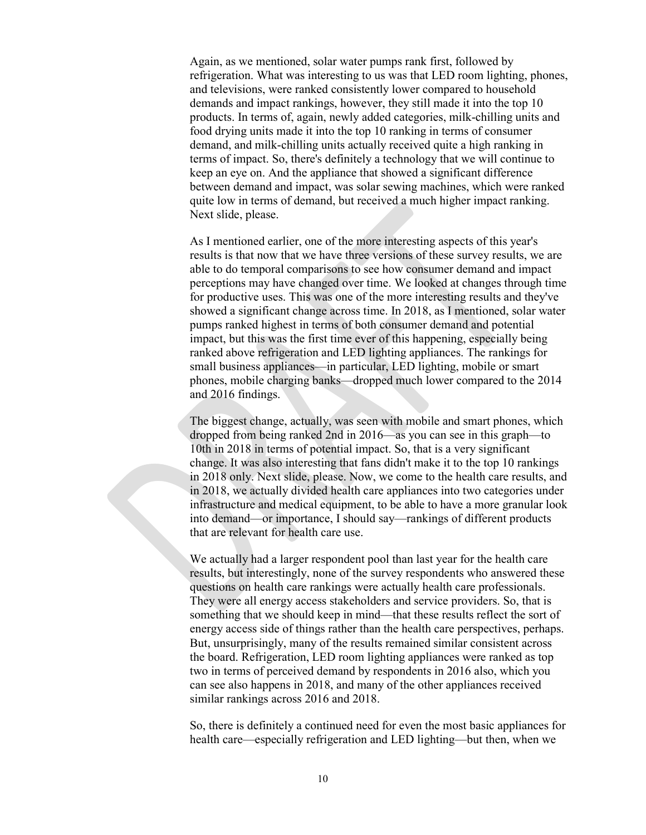Again, as we mentioned, solar water pumps rank first, followed by refrigeration. What was interesting to us was that LED room lighting, phones, and televisions, were ranked consistently lower compared to household demands and impact rankings, however, they still made it into the top 10 products. In terms of, again, newly added categories, milk-chilling units and food drying units made it into the top 10 ranking in terms of consumer demand, and milk-chilling units actually received quite a high ranking in terms of impact. So, there's definitely a technology that we will continue to keep an eye on. And the appliance that showed a significant difference between demand and impact, was solar sewing machines, which were ranked quite low in terms of demand, but received a much higher impact ranking. Next slide, please.

As I mentioned earlier, one of the more interesting aspects of this year's results is that now that we have three versions of these survey results, we are able to do temporal comparisons to see how consumer demand and impact perceptions may have changed over time. We looked at changes through time for productive uses. This was one of the more interesting results and they've showed a significant change across time. In 2018, as I mentioned, solar water pumps ranked highest in terms of both consumer demand and potential impact, but this was the first time ever of this happening, especially being ranked above refrigeration and LED lighting appliances. The rankings for small business appliances—in particular, LED lighting, mobile or smart phones, mobile charging banks—dropped much lower compared to the 2014 and 2016 findings.

The biggest change, actually, was seen with mobile and smart phones, which dropped from being ranked 2nd in 2016—as you can see in this graph—to 10th in 2018 in terms of potential impact. So, that is a very significant change. It was also interesting that fans didn't make it to the top 10 rankings in 2018 only. Next slide, please. Now, we come to the health care results, and in 2018, we actually divided health care appliances into two categories under infrastructure and medical equipment, to be able to have a more granular look into demand—or importance, I should say—rankings of different products that are relevant for health care use.

We actually had a larger respondent pool than last year for the health care results, but interestingly, none of the survey respondents who answered these questions on health care rankings were actually health care professionals. They were all energy access stakeholders and service providers. So, that is something that we should keep in mind—that these results reflect the sort of energy access side of things rather than the health care perspectives, perhaps. But, unsurprisingly, many of the results remained similar consistent across the board. Refrigeration, LED room lighting appliances were ranked as top two in terms of perceived demand by respondents in 2016 also, which you can see also happens in 2018, and many of the other appliances received similar rankings across 2016 and 2018.

So, there is definitely a continued need for even the most basic appliances for health care—especially refrigeration and LED lighting—but then, when we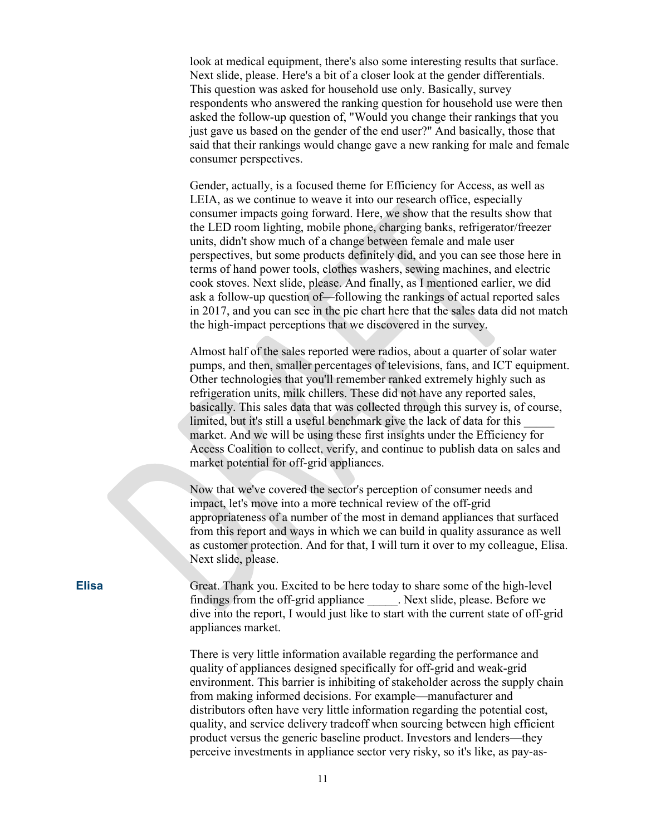look at medical equipment, there's also some interesting results that surface. Next slide, please. Here's a bit of a closer look at the gender differentials. This question was asked for household use only. Basically, survey respondents who answered the ranking question for household use were then asked the follow-up question of, "Would you change their rankings that you just gave us based on the gender of the end user?" And basically, those that said that their rankings would change gave a new ranking for male and female consumer perspectives.

Gender, actually, is a focused theme for Efficiency for Access, as well as LEIA, as we continue to weave it into our research office, especially consumer impacts going forward. Here, we show that the results show that the LED room lighting, mobile phone, charging banks, refrigerator/freezer units, didn't show much of a change between female and male user perspectives, but some products definitely did, and you can see those here in terms of hand power tools, clothes washers, sewing machines, and electric cook stoves. Next slide, please. And finally, as I mentioned earlier, we did ask a follow-up question of—following the rankings of actual reported sales in 2017, and you can see in the pie chart here that the sales data did not match the high-impact perceptions that we discovered in the survey.

Almost half of the sales reported were radios, about a quarter of solar water pumps, and then, smaller percentages of televisions, fans, and ICT equipment. Other technologies that you'll remember ranked extremely highly such as refrigeration units, milk chillers. These did not have any reported sales, basically. This sales data that was collected through this survey is, of course, limited, but it's still a useful benchmark give the lack of data for this \_\_\_\_\_ market. And we will be using these first insights under the Efficiency for Access Coalition to collect, verify, and continue to publish data on sales and market potential for off-grid appliances.

Now that we've covered the sector's perception of consumer needs and impact, let's move into a more technical review of the off-grid appropriateness of a number of the most in demand appliances that surfaced from this report and ways in which we can build in quality assurance as well as customer protection. And for that, I will turn it over to my colleague, Elisa. Next slide, please.

**Elisa** Great. Thank you. Excited to be here today to share some of the high-level findings from the off-grid appliance . Next slide, please. Before we dive into the report, I would just like to start with the current state of off-grid appliances market.

> There is very little information available regarding the performance and quality of appliances designed specifically for off-grid and weak-grid environment. This barrier is inhibiting of stakeholder across the supply chain from making informed decisions. For example—manufacturer and distributors often have very little information regarding the potential cost, quality, and service delivery tradeoff when sourcing between high efficient product versus the generic baseline product. Investors and lenders—they perceive investments in appliance sector very risky, so it's like, as pay-as-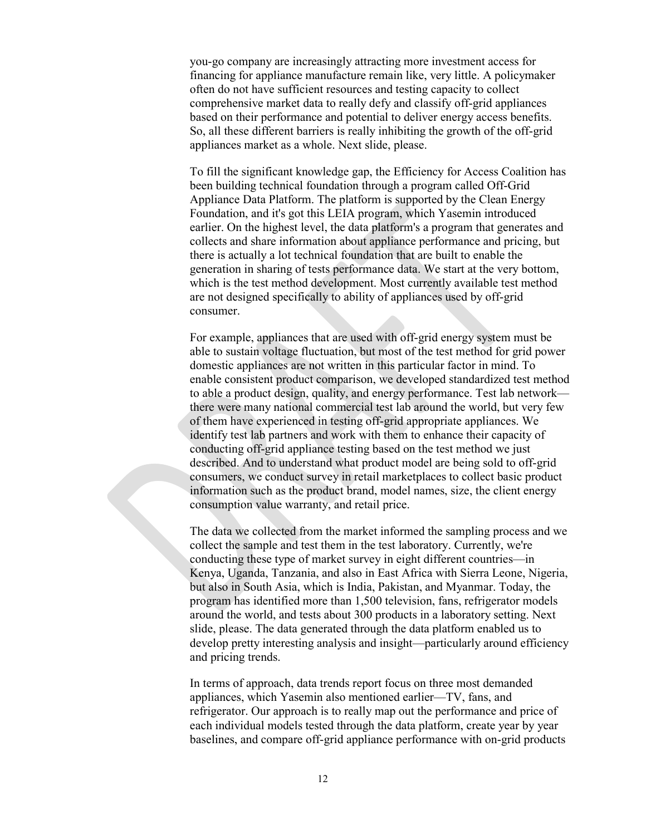you-go company are increasingly attracting more investment access for financing for appliance manufacture remain like, very little. A policymaker often do not have sufficient resources and testing capacity to collect comprehensive market data to really defy and classify off-grid appliances based on their performance and potential to deliver energy access benefits. So, all these different barriers is really inhibiting the growth of the off-grid appliances market as a whole. Next slide, please.

To fill the significant knowledge gap, the Efficiency for Access Coalition has been building technical foundation through a program called Off-Grid Appliance Data Platform. The platform is supported by the Clean Energy Foundation, and it's got this LEIA program, which Yasemin introduced earlier. On the highest level, the data platform's a program that generates and collects and share information about appliance performance and pricing, but there is actually a lot technical foundation that are built to enable the generation in sharing of tests performance data. We start at the very bottom, which is the test method development. Most currently available test method are not designed specifically to ability of appliances used by off-grid consumer.

For example, appliances that are used with off-grid energy system must be able to sustain voltage fluctuation, but most of the test method for grid power domestic appliances are not written in this particular factor in mind. To enable consistent product comparison, we developed standardized test method to able a product design, quality, and energy performance. Test lab network there were many national commercial test lab around the world, but very few of them have experienced in testing off-grid appropriate appliances. We identify test lab partners and work with them to enhance their capacity of conducting off-grid appliance testing based on the test method we just described. And to understand what product model are being sold to off-grid consumers, we conduct survey in retail marketplaces to collect basic product information such as the product brand, model names, size, the client energy consumption value warranty, and retail price.

The data we collected from the market informed the sampling process and we collect the sample and test them in the test laboratory. Currently, we're conducting these type of market survey in eight different countries—in Kenya, Uganda, Tanzania, and also in East Africa with Sierra Leone, Nigeria, but also in South Asia, which is India, Pakistan, and Myanmar. Today, the program has identified more than 1,500 television, fans, refrigerator models around the world, and tests about 300 products in a laboratory setting. Next slide, please. The data generated through the data platform enabled us to develop pretty interesting analysis and insight—particularly around efficiency and pricing trends.

In terms of approach, data trends report focus on three most demanded appliances, which Yasemin also mentioned earlier—TV, fans, and refrigerator. Our approach is to really map out the performance and price of each individual models tested through the data platform, create year by year baselines, and compare off-grid appliance performance with on-grid products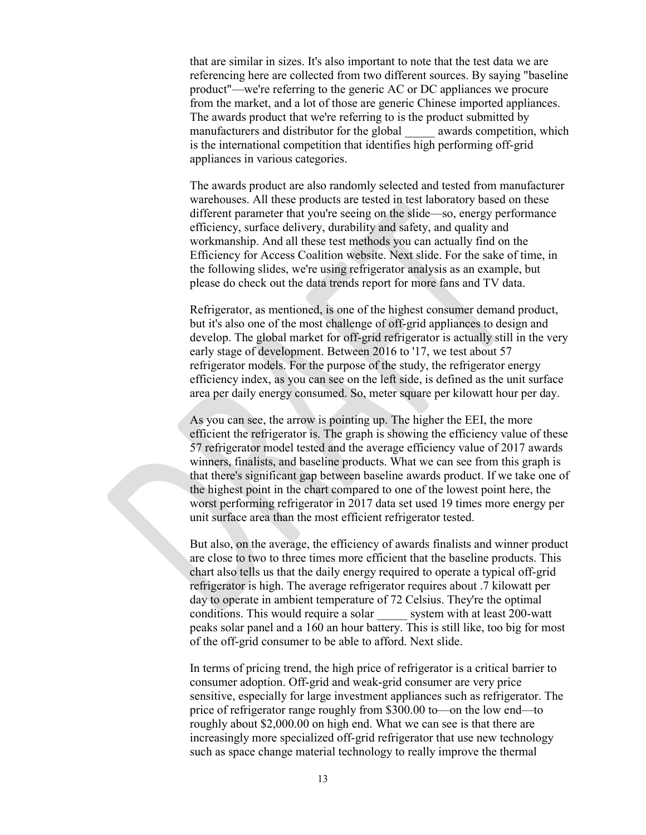that are similar in sizes. It's also important to note that the test data we are referencing here are collected from two different sources. By saying "baseline product"—we're referring to the generic AC or DC appliances we procure from the market, and a lot of those are generic Chinese imported appliances. The awards product that we're referring to is the product submitted by manufacturers and distributor for the global awards competition, which is the international competition that identifies high performing off-grid appliances in various categories.

The awards product are also randomly selected and tested from manufacturer warehouses. All these products are tested in test laboratory based on these different parameter that you're seeing on the slide—so, energy performance efficiency, surface delivery, durability and safety, and quality and workmanship. And all these test methods you can actually find on the Efficiency for Access Coalition website. Next slide. For the sake of time, in the following slides, we're using refrigerator analysis as an example, but please do check out the data trends report for more fans and TV data.

Refrigerator, as mentioned, is one of the highest consumer demand product, but it's also one of the most challenge of off-grid appliances to design and develop. The global market for off-grid refrigerator is actually still in the very early stage of development. Between 2016 to '17, we test about 57 refrigerator models. For the purpose of the study, the refrigerator energy efficiency index, as you can see on the left side, is defined as the unit surface area per daily energy consumed. So, meter square per kilowatt hour per day.

As you can see, the arrow is pointing up. The higher the EEI, the more efficient the refrigerator is. The graph is showing the efficiency value of these 57 refrigerator model tested and the average efficiency value of 2017 awards winners, finalists, and baseline products. What we can see from this graph is that there's significant gap between baseline awards product. If we take one of the highest point in the chart compared to one of the lowest point here, the worst performing refrigerator in 2017 data set used 19 times more energy per unit surface area than the most efficient refrigerator tested.

But also, on the average, the efficiency of awards finalists and winner product are close to two to three times more efficient that the baseline products. This chart also tells us that the daily energy required to operate a typical off-grid refrigerator is high. The average refrigerator requires about .7 kilowatt per day to operate in ambient temperature of 72 Celsius. They're the optimal conditions. This would require a solar system with at least 200-watt peaks solar panel and a 160 an hour battery. This is still like, too big for most of the off-grid consumer to be able to afford. Next slide.

In terms of pricing trend, the high price of refrigerator is a critical barrier to consumer adoption. Off-grid and weak-grid consumer are very price sensitive, especially for large investment appliances such as refrigerator. The price of refrigerator range roughly from \$300.00 to—on the low end—to roughly about \$2,000.00 on high end. What we can see is that there are increasingly more specialized off-grid refrigerator that use new technology such as space change material technology to really improve the thermal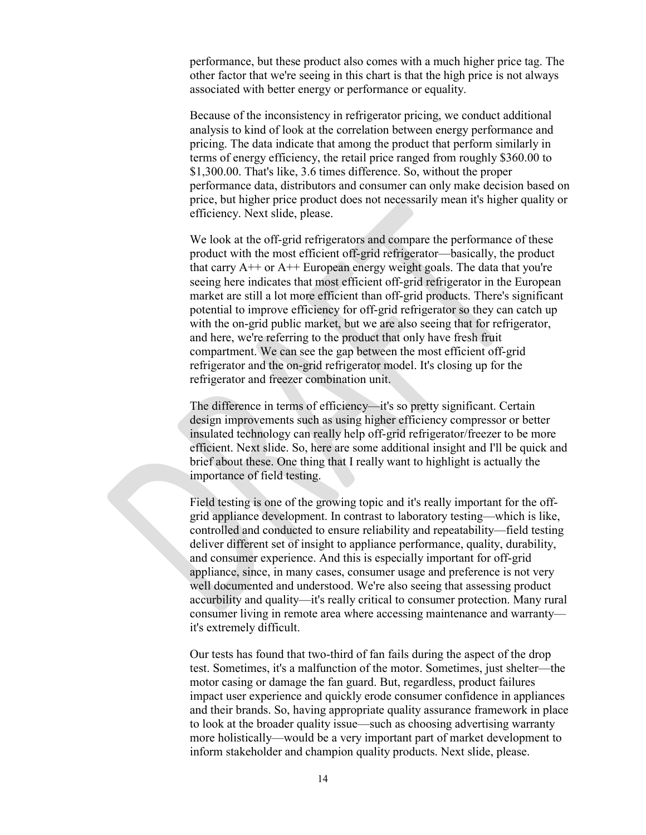performance, but these product also comes with a much higher price tag. The other factor that we're seeing in this chart is that the high price is not always associated with better energy or performance or equality.

Because of the inconsistency in refrigerator pricing, we conduct additional analysis to kind of look at the correlation between energy performance and pricing. The data indicate that among the product that perform similarly in terms of energy efficiency, the retail price ranged from roughly \$360.00 to \$1,300.00. That's like, 3.6 times difference. So, without the proper performance data, distributors and consumer can only make decision based on price, but higher price product does not necessarily mean it's higher quality or efficiency. Next slide, please.

We look at the off-grid refrigerators and compare the performance of these product with the most efficient off-grid refrigerator—basically, the product that carry  $A^{++}$  or  $A^{++}$  European energy weight goals. The data that you're seeing here indicates that most efficient off-grid refrigerator in the European market are still a lot more efficient than off-grid products. There's significant potential to improve efficiency for off-grid refrigerator so they can catch up with the on-grid public market, but we are also seeing that for refrigerator, and here, we're referring to the product that only have fresh fruit compartment. We can see the gap between the most efficient off-grid refrigerator and the on-grid refrigerator model. It's closing up for the refrigerator and freezer combination unit.

The difference in terms of efficiency—it's so pretty significant. Certain design improvements such as using higher efficiency compressor or better insulated technology can really help off-grid refrigerator/freezer to be more efficient. Next slide. So, here are some additional insight and I'll be quick and brief about these. One thing that I really want to highlight is actually the importance of field testing.

Field testing is one of the growing topic and it's really important for the offgrid appliance development. In contrast to laboratory testing—which is like, controlled and conducted to ensure reliability and repeatability—field testing deliver different set of insight to appliance performance, quality, durability, and consumer experience. And this is especially important for off-grid appliance, since, in many cases, consumer usage and preference is not very well documented and understood. We're also seeing that assessing product accurbility and quality—it's really critical to consumer protection. Many rural consumer living in remote area where accessing maintenance and warranty it's extremely difficult.

Our tests has found that two-third of fan fails during the aspect of the drop test. Sometimes, it's a malfunction of the motor. Sometimes, just shelter—the motor casing or damage the fan guard. But, regardless, product failures impact user experience and quickly erode consumer confidence in appliances and their brands. So, having appropriate quality assurance framework in place to look at the broader quality issue—such as choosing advertising warranty more holistically—would be a very important part of market development to inform stakeholder and champion quality products. Next slide, please.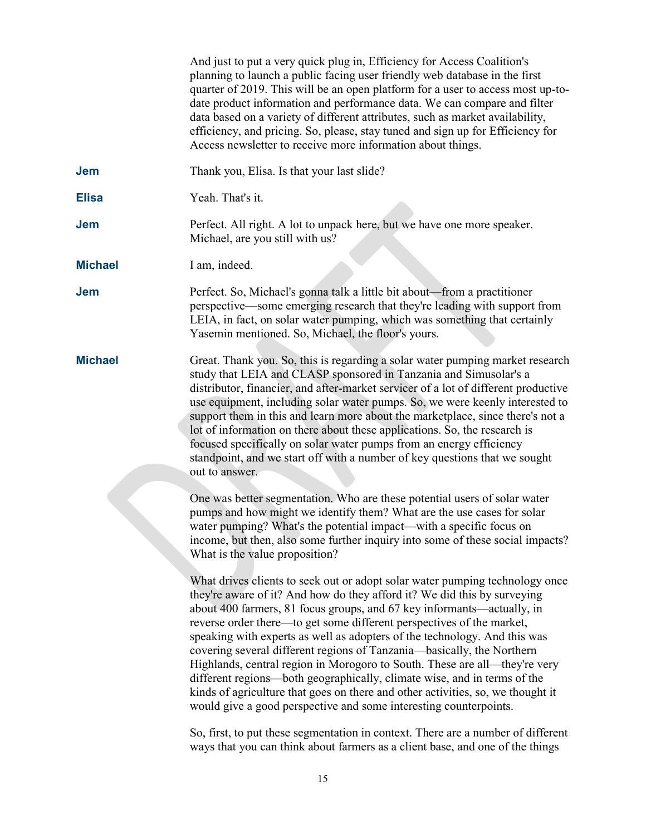|                | And just to put a very quick plug in, Efficiency for Access Coalition's<br>planning to launch a public facing user friendly web database in the first<br>quarter of 2019. This will be an open platform for a user to access most up-to-<br>date product information and performance data. We can compare and filter<br>data based on a variety of different attributes, such as market availability,<br>efficiency, and pricing. So, please, stay tuned and sign up for Efficiency for<br>Access newsletter to receive more information about things.                                                                                                                                                                                                                               |
|----------------|--------------------------------------------------------------------------------------------------------------------------------------------------------------------------------------------------------------------------------------------------------------------------------------------------------------------------------------------------------------------------------------------------------------------------------------------------------------------------------------------------------------------------------------------------------------------------------------------------------------------------------------------------------------------------------------------------------------------------------------------------------------------------------------|
| <b>Jem</b>     | Thank you, Elisa. Is that your last slide?                                                                                                                                                                                                                                                                                                                                                                                                                                                                                                                                                                                                                                                                                                                                           |
| <b>Elisa</b>   | Yeah. That's it.                                                                                                                                                                                                                                                                                                                                                                                                                                                                                                                                                                                                                                                                                                                                                                     |
| <b>Jem</b>     | Perfect. All right. A lot to unpack here, but we have one more speaker.<br>Michael, are you still with us?                                                                                                                                                                                                                                                                                                                                                                                                                                                                                                                                                                                                                                                                           |
| <b>Michael</b> | I am, indeed.                                                                                                                                                                                                                                                                                                                                                                                                                                                                                                                                                                                                                                                                                                                                                                        |
| <b>Jem</b>     | Perfect. So, Michael's gonna talk a little bit about—from a practitioner<br>perspective—some emerging research that they're leading with support from<br>LEIA, in fact, on solar water pumping, which was something that certainly<br>Yasemin mentioned. So, Michael, the floor's yours.                                                                                                                                                                                                                                                                                                                                                                                                                                                                                             |
| <b>Michael</b> | Great. Thank you. So, this is regarding a solar water pumping market research<br>study that LEIA and CLASP sponsored in Tanzania and Simusolar's a<br>distributor, financier, and after-market servicer of a lot of different productive<br>use equipment, including solar water pumps. So, we were keenly interested to<br>support them in this and learn more about the marketplace, since there's not a<br>lot of information on there about these applications. So, the research is<br>focused specifically on solar water pumps from an energy efficiency<br>standpoint, and we start off with a number of key questions that we sought<br>out to answer.                                                                                                                       |
|                | One was better segmentation. Who are these potential users of solar water<br>pumps and how might we identify them? What are the use cases for solar<br>water pumping? What's the potential impact—with a specific focus on<br>income, but then, also some further inquiry into some of these social impacts?<br>What is the value proposition?                                                                                                                                                                                                                                                                                                                                                                                                                                       |
|                | What drives clients to seek out or adopt solar water pumping technology once<br>they're aware of it? And how do they afford it? We did this by surveying<br>about 400 farmers, 81 focus groups, and 67 key informants—actually, in<br>reverse order there—to get some different perspectives of the market,<br>speaking with experts as well as adopters of the technology. And this was<br>covering several different regions of Tanzania—basically, the Northern<br>Highlands, central region in Morogoro to South. These are all—they're very<br>different regions—both geographically, climate wise, and in terms of the<br>kinds of agriculture that goes on there and other activities, so, we thought it<br>would give a good perspective and some interesting counterpoints. |
|                | So first to put these segmentation in context. There are a number of different                                                                                                                                                                                                                                                                                                                                                                                                                                                                                                                                                                                                                                                                                                       |

So, first, to put these segmentation in context. There are a number of different ways that you can think about farmers as a client base, and one of the things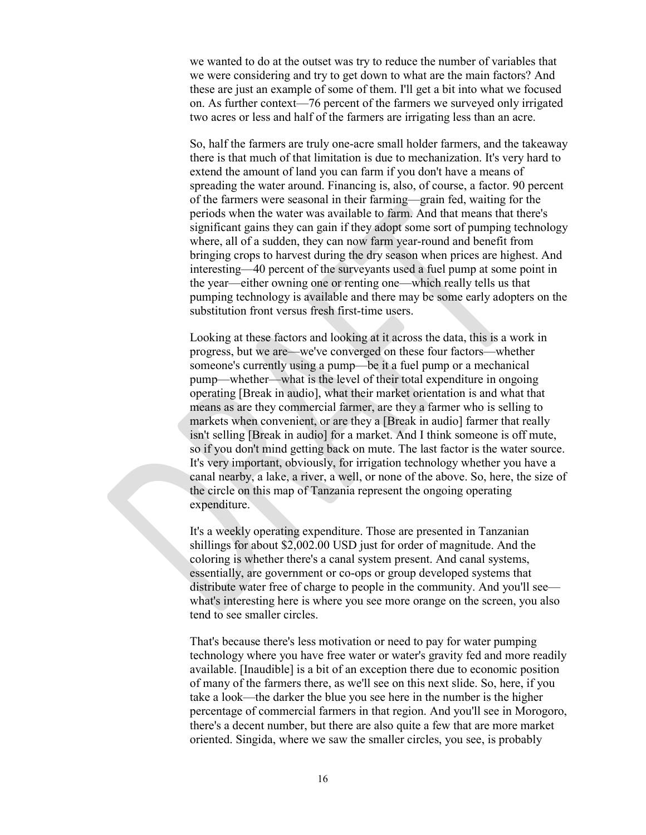we wanted to do at the outset was try to reduce the number of variables that we were considering and try to get down to what are the main factors? And these are just an example of some of them. I'll get a bit into what we focused on. As further context—76 percent of the farmers we surveyed only irrigated two acres or less and half of the farmers are irrigating less than an acre.

So, half the farmers are truly one-acre small holder farmers, and the takeaway there is that much of that limitation is due to mechanization. It's very hard to extend the amount of land you can farm if you don't have a means of spreading the water around. Financing is, also, of course, a factor. 90 percent of the farmers were seasonal in their farming—grain fed, waiting for the periods when the water was available to farm. And that means that there's significant gains they can gain if they adopt some sort of pumping technology where, all of a sudden, they can now farm year-round and benefit from bringing crops to harvest during the dry season when prices are highest. And interesting—40 percent of the surveyants used a fuel pump at some point in the year—either owning one or renting one—which really tells us that pumping technology is available and there may be some early adopters on the substitution front versus fresh first-time users.

Looking at these factors and looking at it across the data, this is a work in progress, but we are—we've converged on these four factors—whether someone's currently using a pump—be it a fuel pump or a mechanical pump—whether—what is the level of their total expenditure in ongoing operating [Break in audio], what their market orientation is and what that means as are they commercial farmer, are they a farmer who is selling to markets when convenient, or are they a [Break in audio] farmer that really isn't selling [Break in audio] for a market. And I think someone is off mute, so if you don't mind getting back on mute. The last factor is the water source. It's very important, obviously, for irrigation technology whether you have a canal nearby, a lake, a river, a well, or none of the above. So, here, the size of the circle on this map of Tanzania represent the ongoing operating expenditure.

It's a weekly operating expenditure. Those are presented in Tanzanian shillings for about \$2,002.00 USD just for order of magnitude. And the coloring is whether there's a canal system present. And canal systems, essentially, are government or co-ops or group developed systems that distribute water free of charge to people in the community. And you'll see what's interesting here is where you see more orange on the screen, you also tend to see smaller circles.

That's because there's less motivation or need to pay for water pumping technology where you have free water or water's gravity fed and more readily available. [Inaudible] is a bit of an exception there due to economic position of many of the farmers there, as we'll see on this next slide. So, here, if you take a look—the darker the blue you see here in the number is the higher percentage of commercial farmers in that region. And you'll see in Morogoro, there's a decent number, but there are also quite a few that are more market oriented. Singida, where we saw the smaller circles, you see, is probably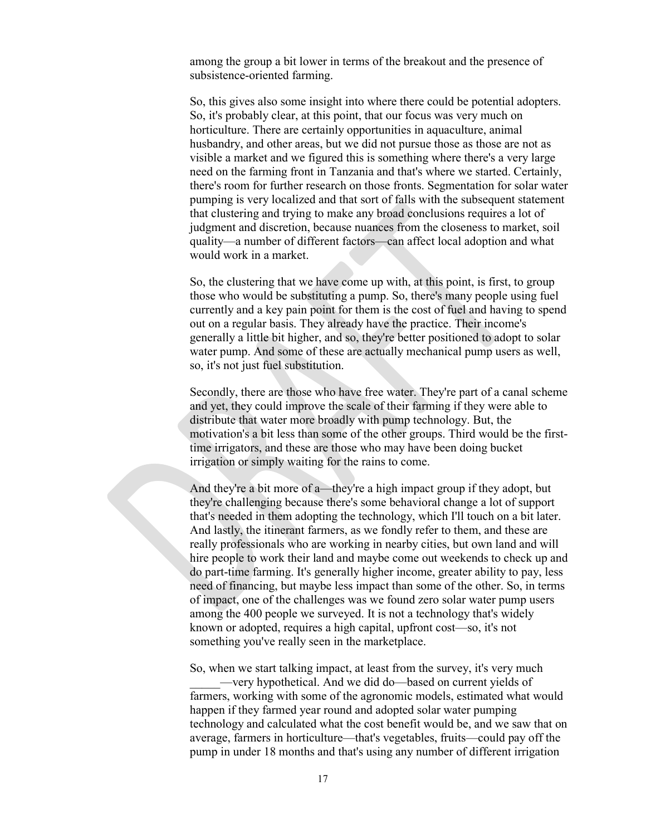among the group a bit lower in terms of the breakout and the presence of subsistence-oriented farming.

So, this gives also some insight into where there could be potential adopters. So, it's probably clear, at this point, that our focus was very much on horticulture. There are certainly opportunities in aquaculture, animal husbandry, and other areas, but we did not pursue those as those are not as visible a market and we figured this is something where there's a very large need on the farming front in Tanzania and that's where we started. Certainly, there's room for further research on those fronts. Segmentation for solar water pumping is very localized and that sort of falls with the subsequent statement that clustering and trying to make any broad conclusions requires a lot of judgment and discretion, because nuances from the closeness to market, soil quality—a number of different factors—can affect local adoption and what would work in a market.

So, the clustering that we have come up with, at this point, is first, to group those who would be substituting a pump. So, there's many people using fuel currently and a key pain point for them is the cost of fuel and having to spend out on a regular basis. They already have the practice. Their income's generally a little bit higher, and so, they're better positioned to adopt to solar water pump. And some of these are actually mechanical pump users as well, so, it's not just fuel substitution.

Secondly, there are those who have free water. They're part of a canal scheme and yet, they could improve the scale of their farming if they were able to distribute that water more broadly with pump technology. But, the motivation's a bit less than some of the other groups. Third would be the firsttime irrigators, and these are those who may have been doing bucket irrigation or simply waiting for the rains to come.

And they're a bit more of a—they're a high impact group if they adopt, but they're challenging because there's some behavioral change a lot of support that's needed in them adopting the technology, which I'll touch on a bit later. And lastly, the itinerant farmers, as we fondly refer to them, and these are really professionals who are working in nearby cities, but own land and will hire people to work their land and maybe come out weekends to check up and do part-time farming. It's generally higher income, greater ability to pay, less need of financing, but maybe less impact than some of the other. So, in terms of impact, one of the challenges was we found zero solar water pump users among the 400 people we surveyed. It is not a technology that's widely known or adopted, requires a high capital, upfront cost—so, it's not something you've really seen in the marketplace.

So, when we start talking impact, at least from the survey, it's very much

\_\_\_\_\_—very hypothetical. And we did do—based on current yields of farmers, working with some of the agronomic models, estimated what would happen if they farmed year round and adopted solar water pumping technology and calculated what the cost benefit would be, and we saw that on average, farmers in horticulture—that's vegetables, fruits—could pay off the pump in under 18 months and that's using any number of different irrigation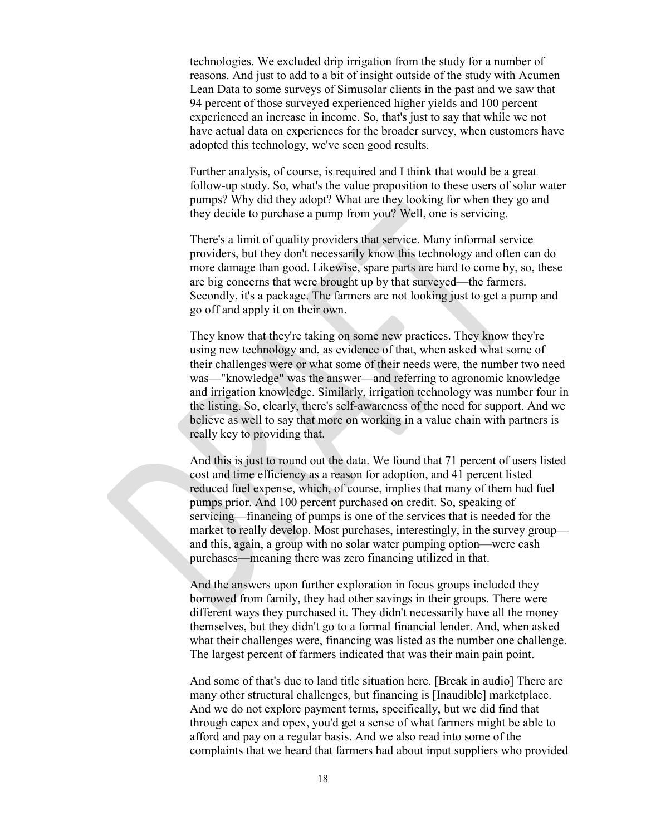technologies. We excluded drip irrigation from the study for a number of reasons. And just to add to a bit of insight outside of the study with Acumen Lean Data to some surveys of Simusolar clients in the past and we saw that 94 percent of those surveyed experienced higher yields and 100 percent experienced an increase in income. So, that's just to say that while we not have actual data on experiences for the broader survey, when customers have adopted this technology, we've seen good results.

Further analysis, of course, is required and I think that would be a great follow-up study. So, what's the value proposition to these users of solar water pumps? Why did they adopt? What are they looking for when they go and they decide to purchase a pump from you? Well, one is servicing.

There's a limit of quality providers that service. Many informal service providers, but they don't necessarily know this technology and often can do more damage than good. Likewise, spare parts are hard to come by, so, these are big concerns that were brought up by that surveyed—the farmers. Secondly, it's a package. The farmers are not looking just to get a pump and go off and apply it on their own.

They know that they're taking on some new practices. They know they're using new technology and, as evidence of that, when asked what some of their challenges were or what some of their needs were, the number two need was—"knowledge" was the answer—and referring to agronomic knowledge and irrigation knowledge. Similarly, irrigation technology was number four in the listing. So, clearly, there's self-awareness of the need for support. And we believe as well to say that more on working in a value chain with partners is really key to providing that.

And this is just to round out the data. We found that 71 percent of users listed cost and time efficiency as a reason for adoption, and 41 percent listed reduced fuel expense, which, of course, implies that many of them had fuel pumps prior. And 100 percent purchased on credit. So, speaking of servicing—financing of pumps is one of the services that is needed for the market to really develop. Most purchases, interestingly, in the survey group and this, again, a group with no solar water pumping option—were cash purchases—meaning there was zero financing utilized in that.

And the answers upon further exploration in focus groups included they borrowed from family, they had other savings in their groups. There were different ways they purchased it. They didn't necessarily have all the money themselves, but they didn't go to a formal financial lender. And, when asked what their challenges were, financing was listed as the number one challenge. The largest percent of farmers indicated that was their main pain point.

And some of that's due to land title situation here. [Break in audio] There are many other structural challenges, but financing is [Inaudible] marketplace. And we do not explore payment terms, specifically, but we did find that through capex and opex, you'd get a sense of what farmers might be able to afford and pay on a regular basis. And we also read into some of the complaints that we heard that farmers had about input suppliers who provided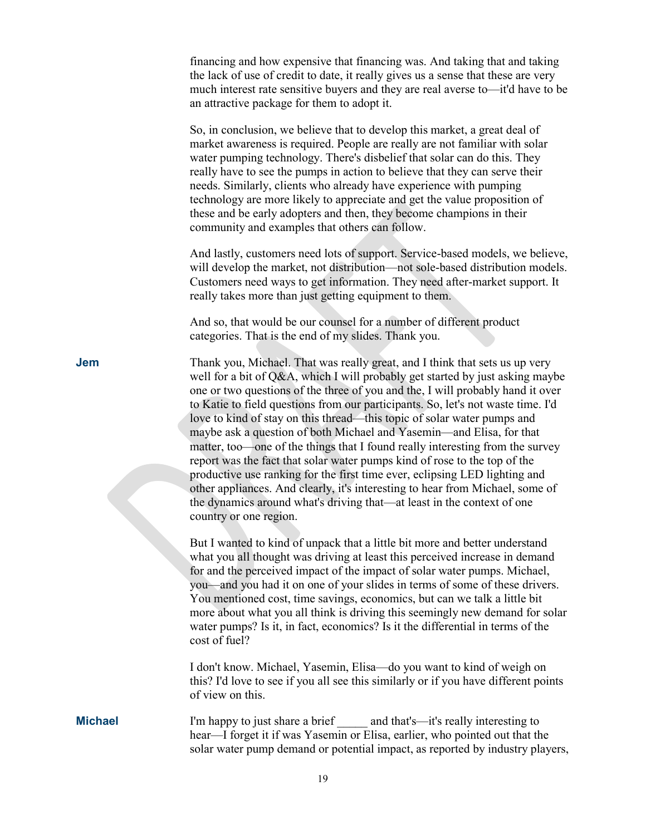|                | financing and how expensive that financing was. And taking that and taking<br>the lack of use of credit to date, it really gives us a sense that these are very<br>much interest rate sensitive buyers and they are real averse to—it'd have to be<br>an attractive package for them to adopt it.                                                                                                                                                                                                                                                                                                                                                                                                                                                                                                                                                                                                                      |
|----------------|------------------------------------------------------------------------------------------------------------------------------------------------------------------------------------------------------------------------------------------------------------------------------------------------------------------------------------------------------------------------------------------------------------------------------------------------------------------------------------------------------------------------------------------------------------------------------------------------------------------------------------------------------------------------------------------------------------------------------------------------------------------------------------------------------------------------------------------------------------------------------------------------------------------------|
|                | So, in conclusion, we believe that to develop this market, a great deal of<br>market awareness is required. People are really are not familiar with solar<br>water pumping technology. There's disbelief that solar can do this. They<br>really have to see the pumps in action to believe that they can serve their<br>needs. Similarly, clients who already have experience with pumping<br>technology are more likely to appreciate and get the value proposition of<br>these and be early adopters and then, they become champions in their<br>community and examples that others can follow.                                                                                                                                                                                                                                                                                                                      |
|                | And lastly, customers need lots of support. Service-based models, we believe,<br>will develop the market, not distribution—not sole-based distribution models.<br>Customers need ways to get information. They need after-market support. It<br>really takes more than just getting equipment to them.                                                                                                                                                                                                                                                                                                                                                                                                                                                                                                                                                                                                                 |
|                | And so, that would be our counsel for a number of different product<br>categories. That is the end of my slides. Thank you.                                                                                                                                                                                                                                                                                                                                                                                                                                                                                                                                                                                                                                                                                                                                                                                            |
| <b>Jem</b>     | Thank you, Michael. That was really great, and I think that sets us up very<br>well for a bit of Q&A, which I will probably get started by just asking maybe<br>one or two questions of the three of you and the, I will probably hand it over<br>to Katie to field questions from our participants. So, let's not waste time. I'd<br>love to kind of stay on this thread—this topic of solar water pumps and<br>maybe ask a question of both Michael and Yasemin—and Elisa, for that<br>matter, too—one of the things that I found really interesting from the survey<br>report was the fact that solar water pumps kind of rose to the top of the<br>productive use ranking for the first time ever, eclipsing LED lighting and<br>other appliances. And clearly, it's interesting to hear from Michael, some of<br>the dynamics around what's driving that—at least in the context of one<br>country or one region. |
|                | But I wanted to kind of unpack that a little bit more and better understand<br>what you all thought was driving at least this perceived increase in demand<br>for and the perceived impact of the impact of solar water pumps. Michael,<br>you-and you had it on one of your slides in terms of some of these drivers.<br>You mentioned cost, time savings, economics, but can we talk a little bit<br>more about what you all think is driving this seemingly new demand for solar<br>water pumps? Is it, in fact, economics? Is it the differential in terms of the<br>cost of fuel?                                                                                                                                                                                                                                                                                                                                 |
|                | I don't know. Michael, Yasemin, Elisa—do you want to kind of weigh on<br>this? I'd love to see if you all see this similarly or if you have different points<br>of view on this.                                                                                                                                                                                                                                                                                                                                                                                                                                                                                                                                                                                                                                                                                                                                       |
| <b>Michael</b> | I'm happy to just share a brief and that's—it's really interesting to<br>hear—I forget it if was Yasemin or Elisa, earlier, who pointed out that the<br>solar water pump demand or potential impact, as reported by industry players,                                                                                                                                                                                                                                                                                                                                                                                                                                                                                                                                                                                                                                                                                  |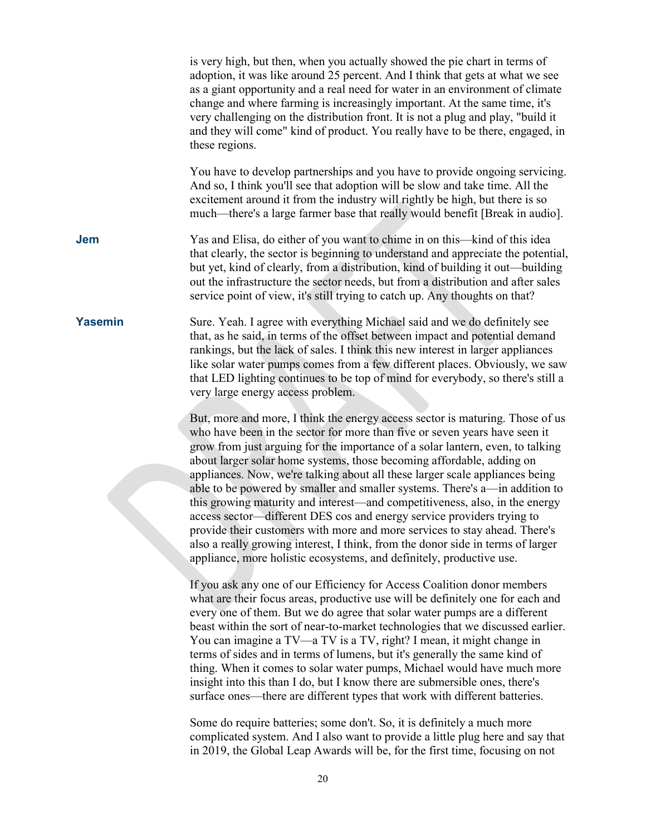|                | is very high, but then, when you actually showed the pie chart in terms of<br>adoption, it was like around 25 percent. And I think that gets at what we see<br>as a giant opportunity and a real need for water in an environment of climate<br>change and where farming is increasingly important. At the same time, it's<br>very challenging on the distribution front. It is not a plug and play, "build it<br>and they will come" kind of product. You really have to be there, engaged, in<br>these regions.                                                                                                                                                                                                                                                                                                                                                                       |
|----------------|-----------------------------------------------------------------------------------------------------------------------------------------------------------------------------------------------------------------------------------------------------------------------------------------------------------------------------------------------------------------------------------------------------------------------------------------------------------------------------------------------------------------------------------------------------------------------------------------------------------------------------------------------------------------------------------------------------------------------------------------------------------------------------------------------------------------------------------------------------------------------------------------|
|                | You have to develop partnerships and you have to provide ongoing servicing.<br>And so, I think you'll see that adoption will be slow and take time. All the<br>excitement around it from the industry will rightly be high, but there is so<br>much—there's a large farmer base that really would benefit [Break in audio].                                                                                                                                                                                                                                                                                                                                                                                                                                                                                                                                                             |
| <b>Jem</b>     | Yas and Elisa, do either of you want to chime in on this—kind of this idea<br>that clearly, the sector is beginning to understand and appreciate the potential,<br>but yet, kind of clearly, from a distribution, kind of building it out—building<br>out the infrastructure the sector needs, but from a distribution and after sales<br>service point of view, it's still trying to catch up. Any thoughts on that?                                                                                                                                                                                                                                                                                                                                                                                                                                                                   |
| <b>Yasemin</b> | Sure. Yeah. I agree with everything Michael said and we do definitely see<br>that, as he said, in terms of the offset between impact and potential demand<br>rankings, but the lack of sales. I think this new interest in larger appliances<br>like solar water pumps comes from a few different places. Obviously, we saw<br>that LED lighting continues to be top of mind for everybody, so there's still a<br>very large energy access problem.                                                                                                                                                                                                                                                                                                                                                                                                                                     |
|                | But, more and more, I think the energy access sector is maturing. Those of us<br>who have been in the sector for more than five or seven years have seen it<br>grow from just arguing for the importance of a solar lantern, even, to talking<br>about larger solar home systems, those becoming affordable, adding on<br>appliances. Now, we're talking about all these larger scale appliances being<br>able to be powered by smaller and smaller systems. There's a—in addition to<br>this growing maturity and interest—and competitiveness, also, in the energy<br>access sector—different DES cos and energy service providers trying to<br>provide their customers with more and more services to stay ahead. There's<br>also a really growing interest, I think, from the donor side in terms of larger<br>appliance, more holistic ecosystems, and definitely, productive use. |
|                | If you ask any one of our Efficiency for Access Coalition donor members<br>what are their focus areas, productive use will be definitely one for each and<br>every one of them. But we do agree that solar water pumps are a different<br>beast within the sort of near-to-market technologies that we discussed earlier.<br>You can imagine a TV-a TV is a TV, right? I mean, it might change in<br>terms of sides and in terms of lumens, but it's generally the same kind of<br>thing. When it comes to solar water pumps, Michael would have much more<br>insight into this than I do, but I know there are submersible ones, there's<br>surface ones—there are different types that work with different batteries.                                                                                                                                                                 |
|                | Some do require batteries; some don't. So, it is definitely a much more<br>complicated system. And I also want to provide a little plug here and say that                                                                                                                                                                                                                                                                                                                                                                                                                                                                                                                                                                                                                                                                                                                               |

in 2019, the Global Leap Awards will be, for the first time, focusing on not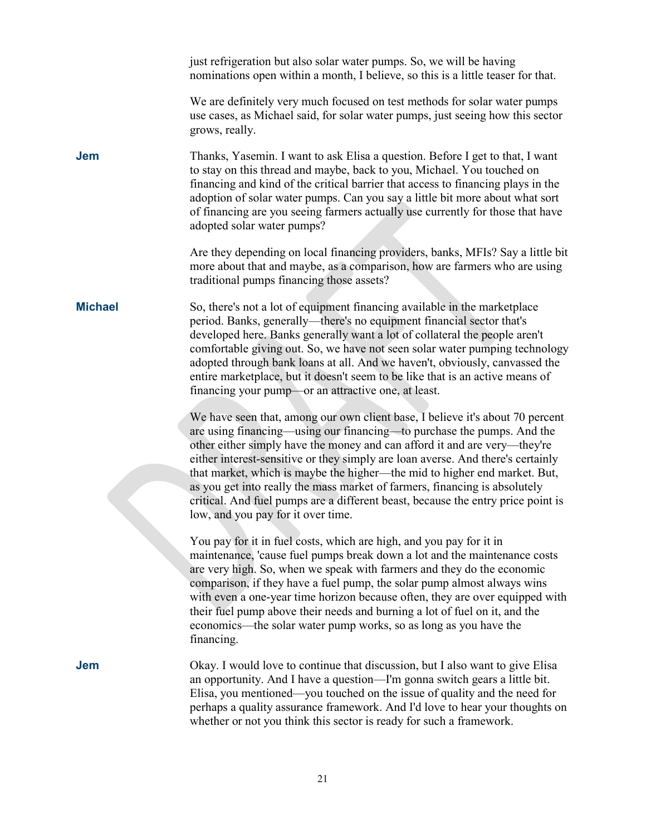|                | just refrigeration but also solar water pumps. So, we will be having<br>nominations open within a month, I believe, so this is a little teaser for that.                                                                                                                                                                                                                                                                                                                                                                                                                                                     |
|----------------|--------------------------------------------------------------------------------------------------------------------------------------------------------------------------------------------------------------------------------------------------------------------------------------------------------------------------------------------------------------------------------------------------------------------------------------------------------------------------------------------------------------------------------------------------------------------------------------------------------------|
|                | We are definitely very much focused on test methods for solar water pumps<br>use cases, as Michael said, for solar water pumps, just seeing how this sector<br>grows, really.                                                                                                                                                                                                                                                                                                                                                                                                                                |
| <b>Jem</b>     | Thanks, Yasemin. I want to ask Elisa a question. Before I get to that, I want<br>to stay on this thread and maybe, back to you, Michael. You touched on<br>financing and kind of the critical barrier that access to financing plays in the<br>adoption of solar water pumps. Can you say a little bit more about what sort<br>of financing are you seeing farmers actually use currently for those that have<br>adopted solar water pumps?                                                                                                                                                                  |
|                | Are they depending on local financing providers, banks, MFIs? Say a little bit<br>more about that and maybe, as a comparison, how are farmers who are using<br>traditional pumps financing those assets?                                                                                                                                                                                                                                                                                                                                                                                                     |
| <b>Michael</b> | So, there's not a lot of equipment financing available in the marketplace<br>period. Banks, generally-there's no equipment financial sector that's<br>developed here. Banks generally want a lot of collateral the people aren't<br>comfortable giving out. So, we have not seen solar water pumping technology<br>adopted through bank loans at all. And we haven't, obviously, canvassed the<br>entire marketplace, but it doesn't seem to be like that is an active means of<br>financing your pump—or an attractive one, at least.                                                                       |
|                | We have seen that, among our own client base, I believe it's about 70 percent<br>are using financing—using our financing—to purchase the pumps. And the<br>other either simply have the money and can afford it and are very—they're<br>either interest-sensitive or they simply are loan averse. And there's certainly<br>that market, which is maybe the higher—the mid to higher end market. But,<br>as you get into really the mass market of farmers, financing is absolutely<br>critical. And fuel pumps are a different beast, because the entry price point is<br>low, and you pay for it over time. |
|                | You pay for it in fuel costs, which are high, and you pay for it in<br>maintenance, 'cause fuel pumps break down a lot and the maintenance costs<br>are very high. So, when we speak with farmers and they do the economic<br>comparison, if they have a fuel pump, the solar pump almost always wins<br>with even a one-year time horizon because often, they are over equipped with<br>their fuel pump above their needs and burning a lot of fuel on it, and the<br>economics—the solar water pump works, so as long as you have the<br>financing.                                                        |
| Jem            | Okay. I would love to continue that discussion, but I also want to give Elisa<br>an opportunity. And I have a question—I'm gonna switch gears a little bit.<br>Elisa, you mentioned—you touched on the issue of quality and the need for<br>perhaps a quality assurance framework. And I'd love to hear your thoughts on<br>whether or not you think this sector is ready for such a framework.                                                                                                                                                                                                              |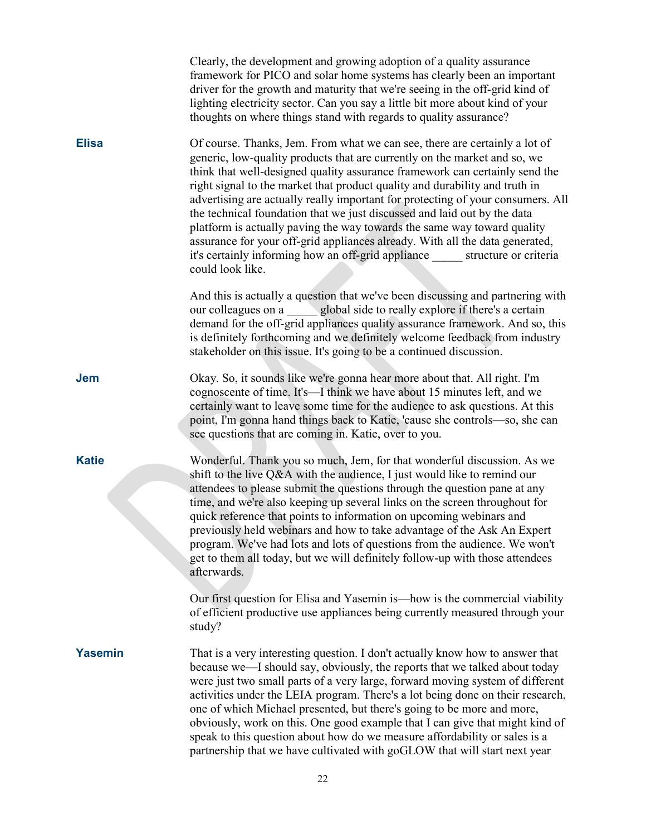|                | Clearly, the development and growing adoption of a quality assurance<br>framework for PICO and solar home systems has clearly been an important<br>driver for the growth and maturity that we're seeing in the off-grid kind of<br>lighting electricity sector. Can you say a little bit more about kind of your<br>thoughts on where things stand with regards to quality assurance?                                                                                                                                                                                                                                                                                                                                                                  |
|----------------|--------------------------------------------------------------------------------------------------------------------------------------------------------------------------------------------------------------------------------------------------------------------------------------------------------------------------------------------------------------------------------------------------------------------------------------------------------------------------------------------------------------------------------------------------------------------------------------------------------------------------------------------------------------------------------------------------------------------------------------------------------|
| <b>Elisa</b>   | Of course. Thanks, Jem. From what we can see, there are certainly a lot of<br>generic, low-quality products that are currently on the market and so, we<br>think that well-designed quality assurance framework can certainly send the<br>right signal to the market that product quality and durability and truth in<br>advertising are actually really important for protecting of your consumers. All<br>the technical foundation that we just discussed and laid out by the data<br>platform is actually paving the way towards the same way toward quality<br>assurance for your off-grid appliances already. With all the data generated,<br>it's certainly informing how an off-grid appliance ______ structure or criteria<br>could look like. |
|                | And this is actually a question that we've been discussing and partnering with<br>our colleagues on a global side to really explore if there's a certain<br>demand for the off-grid appliances quality assurance framework. And so, this<br>is definitely forthcoming and we definitely welcome feedback from industry<br>stakeholder on this issue. It's going to be a continued discussion.                                                                                                                                                                                                                                                                                                                                                          |
| Jem            | Okay. So, it sounds like we're gonna hear more about that. All right. I'm<br>cognoscente of time. It's—I think we have about 15 minutes left, and we<br>certainly want to leave some time for the audience to ask questions. At this<br>point, I'm gonna hand things back to Katie, 'cause she controls-so, she can<br>see questions that are coming in. Katie, over to you.                                                                                                                                                                                                                                                                                                                                                                           |
| <b>Katie</b>   | Wonderful. Thank you so much, Jem, for that wonderful discussion. As we<br>shift to the live Q&A with the audience, I just would like to remind our<br>attendees to please submit the questions through the question pane at any<br>time, and we're also keeping up several links on the screen throughout for<br>quick reference that points to information on upcoming webinars and<br>previously held webinars and how to take advantage of the Ask An Expert<br>program. We've had lots and lots of questions from the audience. We won't<br>get to them all today, but we will definitely follow-up with those attendees<br>afterwards.                                                                                                           |
|                | Our first question for Elisa and Yasemin is—how is the commercial viability<br>of efficient productive use appliances being currently measured through your<br>study?                                                                                                                                                                                                                                                                                                                                                                                                                                                                                                                                                                                  |
| <b>Yasemin</b> | That is a very interesting question. I don't actually know how to answer that<br>because we—I should say, obviously, the reports that we talked about today<br>were just two small parts of a very large, forward moving system of different<br>activities under the LEIA program. There's a lot being done on their research,<br>one of which Michael presented, but there's going to be more and more,<br>obviously, work on this. One good example that I can give that might kind of<br>speak to this question about how do we measure affordability or sales is a<br>partnership that we have cultivated with goGLOW that will start next year                                                                                                    |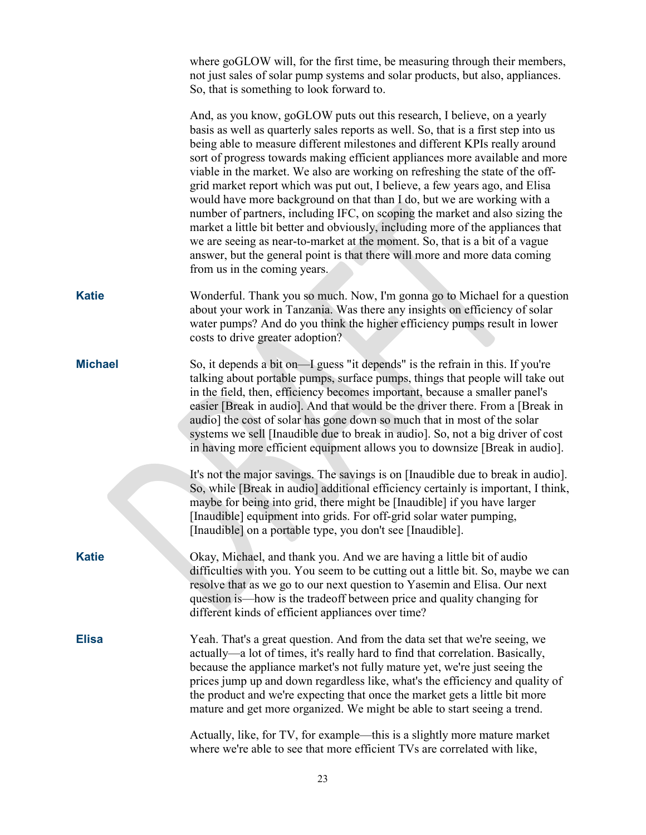where goGLOW will, for the first time, be measuring through their members, not just sales of solar pump systems and solar products, but also, appliances. So, that is something to look forward to. And, as you know, goGLOW puts out this research, I believe, on a yearly basis as well as quarterly sales reports as well. So, that is a first step into us being able to measure different milestones and different KPIs really around sort of progress towards making efficient appliances more available and more viable in the market. We also are working on refreshing the state of the offgrid market report which was put out, I believe, a few years ago, and Elisa would have more background on that than I do, but we are working with a number of partners, including IFC, on scoping the market and also sizing the market a little bit better and obviously, including more of the appliances that we are seeing as near-to-market at the moment. So, that is a bit of a vague answer, but the general point is that there will more and more data coming from us in the coming years. **Katie** Wonderful. Thank you so much. Now, I'm gonna go to Michael for a question about your work in Tanzania. Was there any insights on efficiency of solar water pumps? And do you think the higher efficiency pumps result in lower costs to drive greater adoption? **Michael** So, it depends a bit on—I guess "it depends" is the refrain in this. If you're talking about portable pumps, surface pumps, things that people will take out in the field, then, efficiency becomes important, because a smaller panel's easier [Break in audio]. And that would be the driver there. From a [Break in audio] the cost of solar has gone down so much that in most of the solar systems we sell [Inaudible due to break in audio]. So, not a big driver of cost in having more efficient equipment allows you to downsize [Break in audio]. It's not the major savings. The savings is on [Inaudible due to break in audio]. So, while [Break in audio] additional efficiency certainly is important, I think, maybe for being into grid, there might be [Inaudible] if you have larger [Inaudible] equipment into grids. For off-grid solar water pumping, [Inaudible] on a portable type, you don't see [Inaudible]. **Katie** Okay, Michael, and thank you. And we are having a little bit of audio difficulties with you. You seem to be cutting out a little bit. So, maybe we can resolve that as we go to our next question to Yasemin and Elisa. Our next question is—how is the tradeoff between price and quality changing for different kinds of efficient appliances over time? **Elisa** Yeah. That's a great question. And from the data set that we're seeing, we actually—a lot of times, it's really hard to find that correlation. Basically, because the appliance market's not fully mature yet, we're just seeing the prices jump up and down regardless like, what's the efficiency and quality of the product and we're expecting that once the market gets a little bit more mature and get more organized. We might be able to start seeing a trend. Actually, like, for TV, for example—this is a slightly more mature market where we're able to see that more efficient TVs are correlated with like,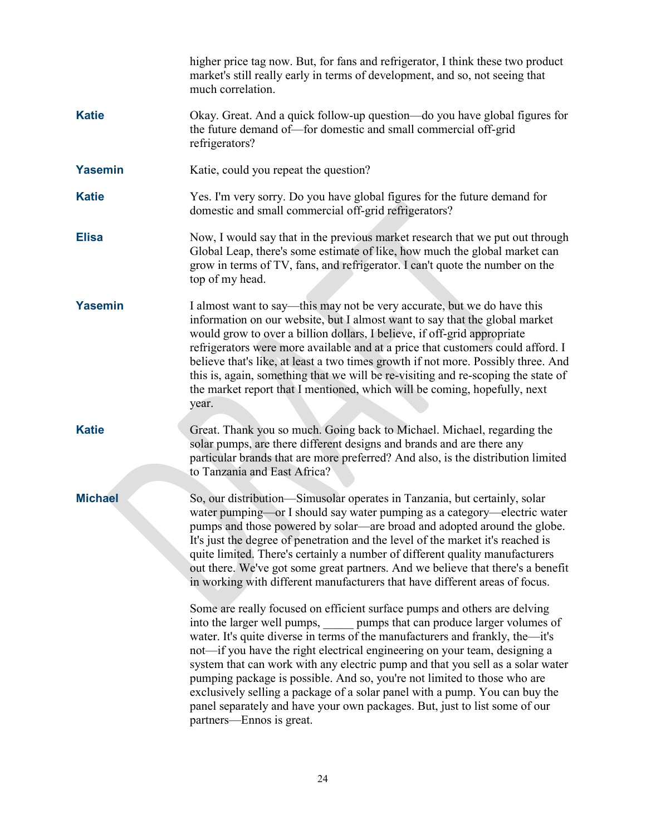|                | higher price tag now. But, for fans and refrigerator, I think these two product<br>market's still really early in terms of development, and so, not seeing that<br>much correlation.                                                                                                                                                                                                                                                                                                                                                                                                                                                                                    |
|----------------|-------------------------------------------------------------------------------------------------------------------------------------------------------------------------------------------------------------------------------------------------------------------------------------------------------------------------------------------------------------------------------------------------------------------------------------------------------------------------------------------------------------------------------------------------------------------------------------------------------------------------------------------------------------------------|
| <b>Katie</b>   | Okay. Great. And a quick follow-up question—do you have global figures for<br>the future demand of-for domestic and small commercial off-grid<br>refrigerators?                                                                                                                                                                                                                                                                                                                                                                                                                                                                                                         |
| <b>Yasemin</b> | Katie, could you repeat the question?                                                                                                                                                                                                                                                                                                                                                                                                                                                                                                                                                                                                                                   |
| <b>Katie</b>   | Yes. I'm very sorry. Do you have global figures for the future demand for<br>domestic and small commercial off-grid refrigerators?                                                                                                                                                                                                                                                                                                                                                                                                                                                                                                                                      |
| <b>Elisa</b>   | Now, I would say that in the previous market research that we put out through<br>Global Leap, there's some estimate of like, how much the global market can<br>grow in terms of TV, fans, and refrigerator. I can't quote the number on the<br>top of my head.                                                                                                                                                                                                                                                                                                                                                                                                          |
| <b>Yasemin</b> | I almost want to say—this may not be very accurate, but we do have this<br>information on our website, but I almost want to say that the global market<br>would grow to over a billion dollars, I believe, if off-grid appropriate<br>refrigerators were more available and at a price that customers could afford. I<br>believe that's like, at least a two times growth if not more. Possibly three. And<br>this is, again, something that we will be re-visiting and re-scoping the state of<br>the market report that I mentioned, which will be coming, hopefully, next<br>year.                                                                                   |
| <b>Katie</b>   | Great. Thank you so much. Going back to Michael. Michael, regarding the<br>solar pumps, are there different designs and brands and are there any<br>particular brands that are more preferred? And also, is the distribution limited<br>to Tanzania and East Africa?                                                                                                                                                                                                                                                                                                                                                                                                    |
| <b>Michael</b> | So, our distribution—Simusolar operates in Tanzania, but certainly, solar<br>water pumping—or I should say water pumping as a category—electric water<br>pumps and those powered by solar—are broad and adopted around the globe.<br>It's just the degree of penetration and the level of the market it's reached is<br>quite limited. There's certainly a number of different quality manufacturers<br>out there. We've got some great partners. And we believe that there's a benefit<br>in working with different manufacturers that have different areas of focus.                                                                                                  |
|                | Some are really focused on efficient surface pumps and others are delving<br>into the larger well pumps, pumps that can produce larger volumes of<br>water. It's quite diverse in terms of the manufacturers and frankly, the-it's<br>not—if you have the right electrical engineering on your team, designing a<br>system that can work with any electric pump and that you sell as a solar water<br>pumping package is possible. And so, you're not limited to those who are<br>exclusively selling a package of a solar panel with a pump. You can buy the<br>panel separately and have your own packages. But, just to list some of our<br>partners—Ennos is great. |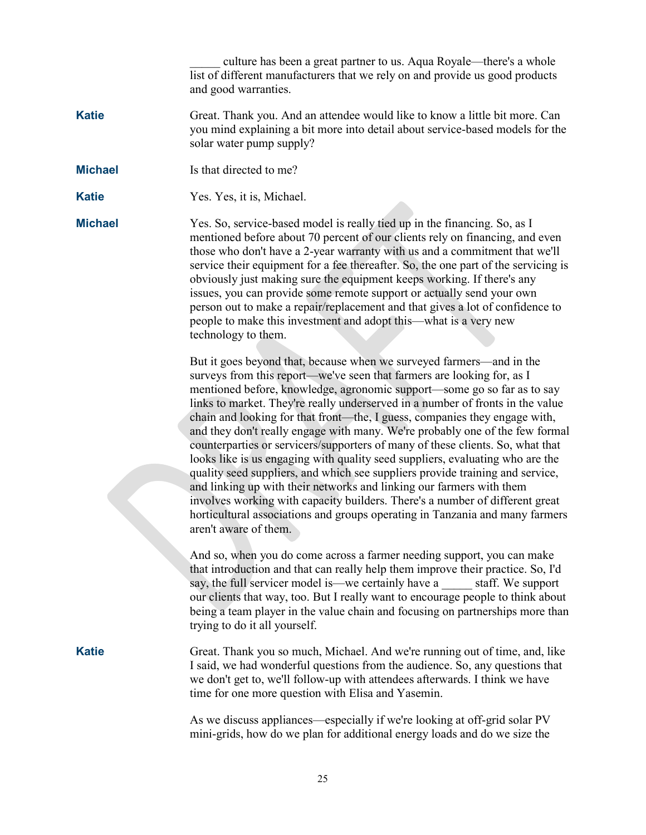culture has been a great partner to us. Aqua Royale—there's a whole list of different manufacturers that we rely on and provide us good products and good warranties.

- **Katie** Great. Thank you. And an attendee would like to know a little bit more. Can you mind explaining a bit more into detail about service-based models for the solar water pump supply?
- **Michael** Is that directed to me?
- **Katie** Yes. Yes, it is, Michael.

**Michael** Yes. So, service-based model is really tied up in the financing. So, as I mentioned before about 70 percent of our clients rely on financing, and even those who don't have a 2-year warranty with us and a commitment that we'll service their equipment for a fee thereafter. So, the one part of the servicing is obviously just making sure the equipment keeps working. If there's any issues, you can provide some remote support or actually send your own person out to make a repair/replacement and that gives a lot of confidence to people to make this investment and adopt this—what is a very new technology to them.

> But it goes beyond that, because when we surveyed farmers—and in the surveys from this report—we've seen that farmers are looking for, as I mentioned before, knowledge, agronomic support—some go so far as to say links to market. They're really underserved in a number of fronts in the value chain and looking for that front—the, I guess, companies they engage with, and they don't really engage with many. We're probably one of the few formal counterparties or servicers/supporters of many of these clients. So, what that looks like is us engaging with quality seed suppliers, evaluating who are the quality seed suppliers, and which see suppliers provide training and service, and linking up with their networks and linking our farmers with them involves working with capacity builders. There's a number of different great horticultural associations and groups operating in Tanzania and many farmers aren't aware of them.

> And so, when you do come across a farmer needing support, you can make that introduction and that can really help them improve their practice. So, I'd say, the full servicer model is—we certainly have a staff. We support our clients that way, too. But I really want to encourage people to think about being a team player in the value chain and focusing on partnerships more than trying to do it all yourself.

**Katie** Great. Thank you so much, Michael. And we're running out of time, and, like I said, we had wonderful questions from the audience. So, any questions that we don't get to, we'll follow-up with attendees afterwards. I think we have time for one more question with Elisa and Yasemin.

> As we discuss appliances—especially if we're looking at off-grid solar PV mini-grids, how do we plan for additional energy loads and do we size the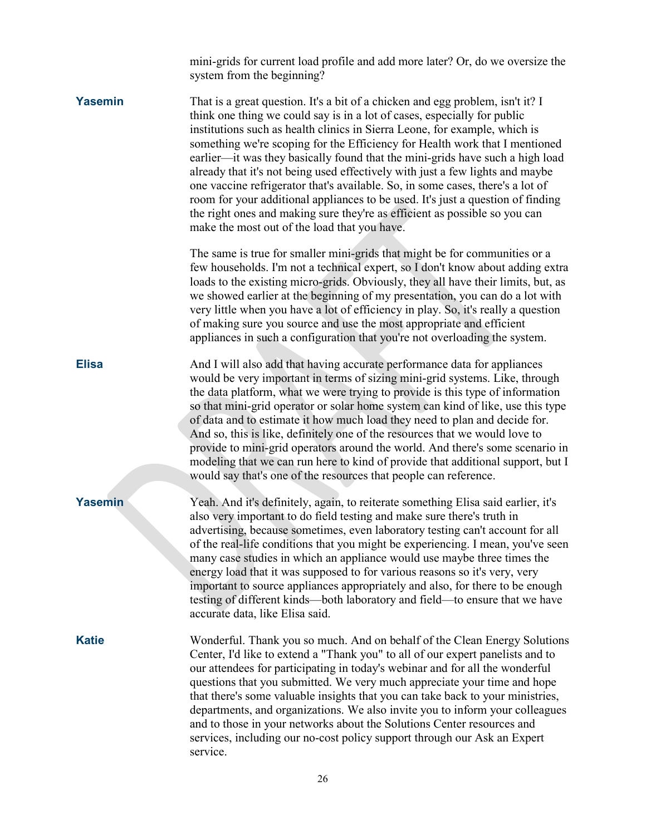|                | mini-grids for current load profile and add more later? Or, do we oversize the<br>system from the beginning?                                                                                                                                                                                                                                                                                                                                                                                                                                                                                                                                                                                                                                                                                 |
|----------------|----------------------------------------------------------------------------------------------------------------------------------------------------------------------------------------------------------------------------------------------------------------------------------------------------------------------------------------------------------------------------------------------------------------------------------------------------------------------------------------------------------------------------------------------------------------------------------------------------------------------------------------------------------------------------------------------------------------------------------------------------------------------------------------------|
| <b>Yasemin</b> | That is a great question. It's a bit of a chicken and egg problem, isn't it? I<br>think one thing we could say is in a lot of cases, especially for public<br>institutions such as health clinics in Sierra Leone, for example, which is<br>something we're scoping for the Efficiency for Health work that I mentioned<br>earlier—it was they basically found that the mini-grids have such a high load<br>already that it's not being used effectively with just a few lights and maybe<br>one vaccine refrigerator that's available. So, in some cases, there's a lot of<br>room for your additional appliances to be used. It's just a question of finding<br>the right ones and making sure they're as efficient as possible so you can<br>make the most out of the load that you have. |
|                | The same is true for smaller mini-grids that might be for communities or a<br>few households. I'm not a technical expert, so I don't know about adding extra<br>loads to the existing micro-grids. Obviously, they all have their limits, but, as<br>we showed earlier at the beginning of my presentation, you can do a lot with<br>very little when you have a lot of efficiency in play. So, it's really a question<br>of making sure you source and use the most appropriate and efficient<br>appliances in such a configuration that you're not overloading the system.                                                                                                                                                                                                                 |
| <b>Elisa</b>   | And I will also add that having accurate performance data for appliances<br>would be very important in terms of sizing mini-grid systems. Like, through<br>the data platform, what we were trying to provide is this type of information<br>so that mini-grid operator or solar home system can kind of like, use this type<br>of data and to estimate it how much load they need to plan and decide for.<br>And so, this is like, definitely one of the resources that we would love to<br>provide to mini-grid operators around the world. And there's some scenario in<br>modeling that we can run here to kind of provide that additional support, but I<br>would say that's one of the resources that people can reference.                                                             |
| <b>Yasemin</b> | Yeah. And it's definitely, again, to reiterate something Elisa said earlier, it's<br>also very important to do field testing and make sure there's truth in<br>advertising, because sometimes, even laboratory testing can't account for all<br>of the real-life conditions that you might be experiencing. I mean, you've seen<br>many case studies in which an appliance would use maybe three times the<br>energy load that it was supposed to for various reasons so it's very, very<br>important to source appliances appropriately and also, for there to be enough<br>testing of different kinds—both laboratory and field—to ensure that we have<br>accurate data, like Elisa said.                                                                                                  |
| <b>Katie</b>   | Wonderful. Thank you so much. And on behalf of the Clean Energy Solutions<br>Center, I'd like to extend a "Thank you" to all of our expert panelists and to<br>our attendees for participating in today's webinar and for all the wonderful<br>questions that you submitted. We very much appreciate your time and hope<br>that there's some valuable insights that you can take back to your ministries,<br>departments, and organizations. We also invite you to inform your colleagues<br>and to those in your networks about the Solutions Center resources and<br>services, including our no-cost policy support through our Ask an Expert<br>service.                                                                                                                                  |